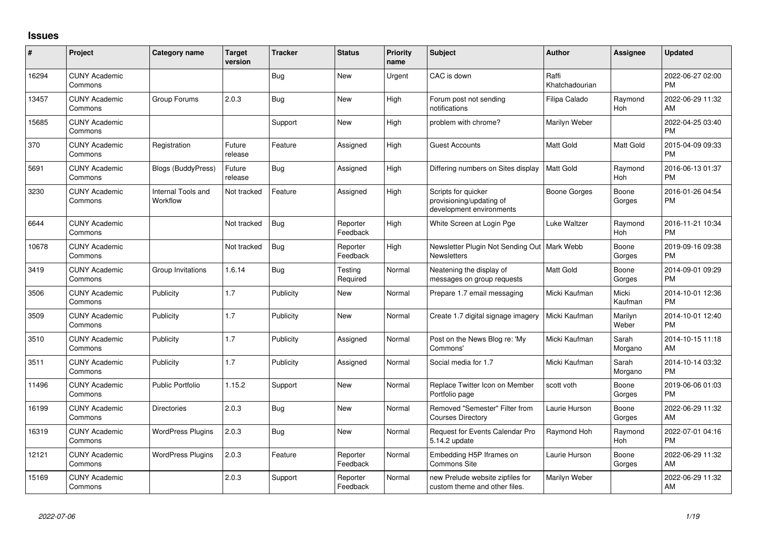## **Issues**

| #     | Project                         | <b>Category name</b>           | <b>Target</b><br>version | <b>Tracker</b> | <b>Status</b>        | <b>Priority</b><br>name | <b>Subject</b>                                                              | <b>Author</b>           | Assignee         | <b>Updated</b>                |
|-------|---------------------------------|--------------------------------|--------------------------|----------------|----------------------|-------------------------|-----------------------------------------------------------------------------|-------------------------|------------------|-------------------------------|
| 16294 | <b>CUNY Academic</b><br>Commons |                                |                          | Bug            | <b>New</b>           | Urgent                  | CAC is down                                                                 | Raffi<br>Khatchadourian |                  | 2022-06-27 02:00<br><b>PM</b> |
| 13457 | <b>CUNY Academic</b><br>Commons | Group Forums                   | 2.0.3                    | Bug            | New                  | High                    | Forum post not sending<br>notifications                                     | Filipa Calado           | Raymond<br>Hoh   | 2022-06-29 11:32<br>AM        |
| 15685 | <b>CUNY Academic</b><br>Commons |                                |                          | Support        | <b>New</b>           | High                    | problem with chrome?                                                        | Marilyn Weber           |                  | 2022-04-25 03:40<br><b>PM</b> |
| 370   | <b>CUNY Academic</b><br>Commons | Registration                   | Future<br>release        | Feature        | Assigned             | High                    | Guest Accounts                                                              | <b>Matt Gold</b>        | Matt Gold        | 2015-04-09 09:33<br><b>PM</b> |
| 5691  | <b>CUNY Academic</b><br>Commons | Blogs (BuddyPress)             | Future<br>release        | Bug            | Assigned             | High                    | Differing numbers on Sites display                                          | <b>Matt Gold</b>        | Raymond<br>Hoh   | 2016-06-13 01:37<br><b>PM</b> |
| 3230  | <b>CUNY Academic</b><br>Commons | Internal Tools and<br>Workflow | Not tracked              | Feature        | Assigned             | High                    | Scripts for quicker<br>provisioning/updating of<br>development environments | Boone Gorges            | Boone<br>Gorges  | 2016-01-26 04:54<br><b>PM</b> |
| 6644  | <b>CUNY Academic</b><br>Commons |                                | Not tracked              | <b>Bug</b>     | Reporter<br>Feedback | High                    | White Screen at Login Pge                                                   | Luke Waltzer            | Raymond<br>Hoh   | 2016-11-21 10:34<br><b>PM</b> |
| 10678 | <b>CUNY Academic</b><br>Commons |                                | Not tracked              | <b>Bug</b>     | Reporter<br>Feedback | High                    | Newsletter Plugin Not Sending Out   Mark Webb<br><b>Newsletters</b>         |                         | Boone<br>Gorges  | 2019-09-16 09:38<br><b>PM</b> |
| 3419  | <b>CUNY Academic</b><br>Commons | Group Invitations              | 1.6.14                   | <b>Bug</b>     | Testing<br>Required  | Normal                  | Neatening the display of<br>messages on group requests                      | Matt Gold               | Boone<br>Gorges  | 2014-09-01 09:29<br><b>PM</b> |
| 3506  | <b>CUNY Academic</b><br>Commons | Publicity                      | 1.7                      | Publicity      | New                  | Normal                  | Prepare 1.7 email messaging                                                 | Micki Kaufman           | Micki<br>Kaufman | 2014-10-01 12:36<br><b>PM</b> |
| 3509  | <b>CUNY Academic</b><br>Commons | Publicity                      | 1.7                      | Publicity      | New                  | Normal                  | Create 1.7 digital signage imagery                                          | Micki Kaufman           | Marilyn<br>Weber | 2014-10-01 12:40<br><b>PM</b> |
| 3510  | <b>CUNY Academic</b><br>Commons | Publicity                      | 1.7                      | Publicity      | Assigned             | Normal                  | Post on the News Blog re: 'My<br>Commons'                                   | Micki Kaufman           | Sarah<br>Morgano | 2014-10-15 11:18<br>AM        |
| 3511  | <b>CUNY Academic</b><br>Commons | Publicity                      | 1.7                      | Publicity      | Assigned             | Normal                  | Social media for 1.7                                                        | Micki Kaufman           | Sarah<br>Morgano | 2014-10-14 03:32<br><b>PM</b> |
| 11496 | <b>CUNY Academic</b><br>Commons | <b>Public Portfolio</b>        | 1.15.2                   | Support        | <b>New</b>           | Normal                  | Replace Twitter Icon on Member<br>Portfolio page                            | scott voth              | Boone<br>Gorges  | 2019-06-06 01:03<br><b>PM</b> |
| 16199 | <b>CUNY Academic</b><br>Commons | <b>Directories</b>             | 2.0.3                    | <b>Bug</b>     | New                  | Normal                  | Removed "Semester" Filter from<br><b>Courses Directory</b>                  | Laurie Hurson           | Boone<br>Gorges  | 2022-06-29 11:32<br>AM        |
| 16319 | <b>CUNY Academic</b><br>Commons | <b>WordPress Plugins</b>       | 2.0.3                    | Bug            | <b>New</b>           | Normal                  | Request for Events Calendar Pro<br>5.14.2 update                            | Raymond Hoh             | Raymond<br>Hoh   | 2022-07-01 04:16<br><b>PM</b> |
| 12121 | <b>CUNY Academic</b><br>Commons | <b>WordPress Plugins</b>       | 2.0.3                    | Feature        | Reporter<br>Feedback | Normal                  | Embedding H5P Iframes on<br>Commons Site                                    | Laurie Hurson           | Boone<br>Gorges  | 2022-06-29 11:32<br>AM        |
| 15169 | <b>CUNY Academic</b><br>Commons |                                | 2.0.3                    | Support        | Reporter<br>Feedback | Normal                  | new Prelude website zipfiles for<br>custom theme and other files.           | Marilyn Weber           |                  | 2022-06-29 11:32<br>AM        |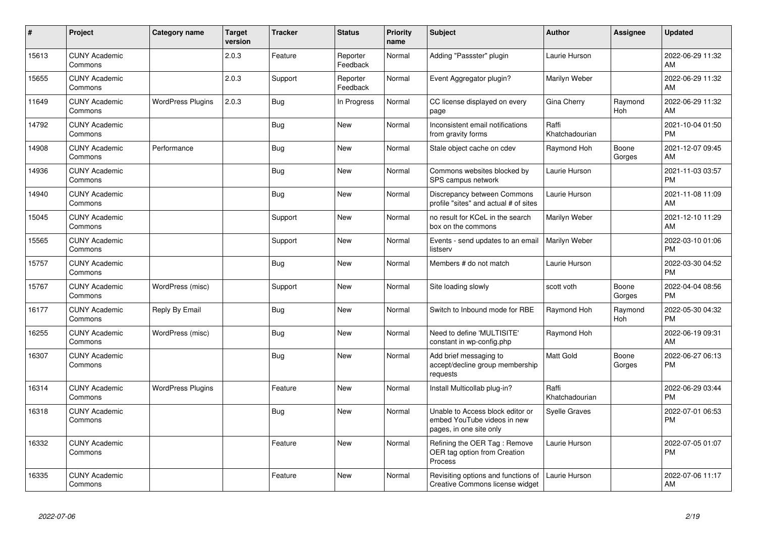| $\sharp$ | Project                         | <b>Category name</b>     | <b>Target</b><br>version | <b>Tracker</b> | <b>Status</b>        | <b>Priority</b><br>name | Subject                                                                                    | Author                  | <b>Assignee</b> | <b>Updated</b>                |
|----------|---------------------------------|--------------------------|--------------------------|----------------|----------------------|-------------------------|--------------------------------------------------------------------------------------------|-------------------------|-----------------|-------------------------------|
| 15613    | <b>CUNY Academic</b><br>Commons |                          | 2.0.3                    | Feature        | Reporter<br>Feedback | Normal                  | Adding "Passster" plugin                                                                   | Laurie Hurson           |                 | 2022-06-29 11:32<br>AM        |
| 15655    | <b>CUNY Academic</b><br>Commons |                          | 2.0.3                    | Support        | Reporter<br>Feedback | Normal                  | Event Aggregator plugin?                                                                   | Marilyn Weber           |                 | 2022-06-29 11:32<br>AM        |
| 11649    | <b>CUNY Academic</b><br>Commons | <b>WordPress Plugins</b> | 2.0.3                    | Bug            | In Progress          | Normal                  | CC license displayed on every<br>page                                                      | Gina Cherry             | Raymond<br>Hoh  | 2022-06-29 11:32<br>AM        |
| 14792    | <b>CUNY Academic</b><br>Commons |                          |                          | Bug            | New                  | Normal                  | Inconsistent email notifications<br>from gravity forms                                     | Raffi<br>Khatchadourian |                 | 2021-10-04 01:50<br><b>PM</b> |
| 14908    | <b>CUNY Academic</b><br>Commons | Performance              |                          | Bug            | <b>New</b>           | Normal                  | Stale object cache on cdev                                                                 | Raymond Hoh             | Boone<br>Gorges | 2021-12-07 09:45<br>AM        |
| 14936    | <b>CUNY Academic</b><br>Commons |                          |                          | <b>Bug</b>     | <b>New</b>           | Normal                  | Commons websites blocked by<br>SPS campus network                                          | Laurie Hurson           |                 | 2021-11-03 03:57<br><b>PM</b> |
| 14940    | <b>CUNY Academic</b><br>Commons |                          |                          | <b>Bug</b>     | <b>New</b>           | Normal                  | Discrepancy between Commons<br>profile "sites" and actual # of sites                       | Laurie Hurson           |                 | 2021-11-08 11:09<br>AM        |
| 15045    | <b>CUNY Academic</b><br>Commons |                          |                          | Support        | <b>New</b>           | Normal                  | no result for KCeL in the search<br>box on the commons                                     | Marilyn Weber           |                 | 2021-12-10 11:29<br>AM        |
| 15565    | <b>CUNY Academic</b><br>Commons |                          |                          | Support        | New                  | Normal                  | Events - send updates to an email<br>listserv                                              | Marilyn Weber           |                 | 2022-03-10 01:06<br><b>PM</b> |
| 15757    | <b>CUNY Academic</b><br>Commons |                          |                          | <b>Bug</b>     | New                  | Normal                  | Members # do not match                                                                     | Laurie Hurson           |                 | 2022-03-30 04:52<br><b>PM</b> |
| 15767    | <b>CUNY Academic</b><br>Commons | WordPress (misc)         |                          | Support        | New                  | Normal                  | Site loading slowly                                                                        | scott voth              | Boone<br>Gorges | 2022-04-04 08:56<br><b>PM</b> |
| 16177    | <b>CUNY Academic</b><br>Commons | Reply By Email           |                          | Bug            | <b>New</b>           | Normal                  | Switch to Inbound mode for RBE                                                             | Raymond Hoh             | Raymond<br>Hoh  | 2022-05-30 04:32<br>PM        |
| 16255    | <b>CUNY Academic</b><br>Commons | WordPress (misc)         |                          | <b>Bug</b>     | New                  | Normal                  | Need to define 'MULTISITE'<br>constant in wp-config.php                                    | Raymond Hoh             |                 | 2022-06-19 09:31<br>AM        |
| 16307    | <b>CUNY Academic</b><br>Commons |                          |                          | Bug            | <b>New</b>           | Normal                  | Add brief messaging to<br>accept/decline group membership<br>requests                      | <b>Matt Gold</b>        | Boone<br>Gorges | 2022-06-27 06:13<br><b>PM</b> |
| 16314    | <b>CUNY Academic</b><br>Commons | <b>WordPress Plugins</b> |                          | Feature        | New                  | Normal                  | Install Multicollab plug-in?                                                               | Raffi<br>Khatchadourian |                 | 2022-06-29 03:44<br><b>PM</b> |
| 16318    | <b>CUNY Academic</b><br>Commons |                          |                          | <b>Bug</b>     | <b>New</b>           | Normal                  | Unable to Access block editor or<br>embed YouTube videos in new<br>pages, in one site only | <b>Syelle Graves</b>    |                 | 2022-07-01 06:53<br><b>PM</b> |
| 16332    | <b>CUNY Academic</b><br>Commons |                          |                          | Feature        | <b>New</b>           | Normal                  | Refining the OER Tag: Remove<br>OER tag option from Creation<br>Process                    | Laurie Hurson           |                 | 2022-07-05 01:07<br><b>PM</b> |
| 16335    | <b>CUNY Academic</b><br>Commons |                          |                          | Feature        | New                  | Normal                  | Revisiting options and functions of<br>Creative Commons license widget                     | Laurie Hurson           |                 | 2022-07-06 11:17<br>AM        |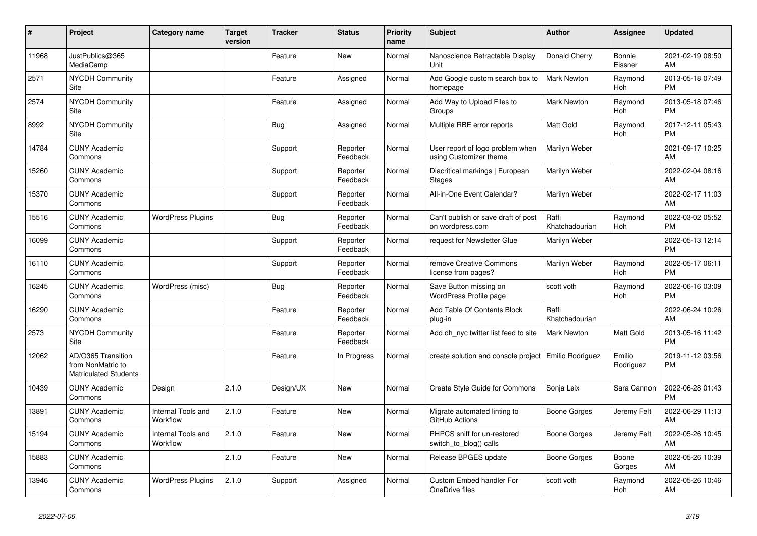| #     | Project                                                                 | <b>Category name</b>           | <b>Target</b><br>version | <b>Tracker</b> | <b>Status</b>        | <b>Priority</b><br>name | <b>Subject</b>                                             | <b>Author</b>           | <b>Assignee</b>     | <b>Updated</b>                |
|-------|-------------------------------------------------------------------------|--------------------------------|--------------------------|----------------|----------------------|-------------------------|------------------------------------------------------------|-------------------------|---------------------|-------------------------------|
| 11968 | JustPublics@365<br>MediaCamp                                            |                                |                          | Feature        | <b>New</b>           | Normal                  | Nanoscience Retractable Display<br>Unit                    | Donald Cherry           | Bonnie<br>Eissner   | 2021-02-19 08:50<br>AM        |
| 2571  | <b>NYCDH Community</b><br>Site                                          |                                |                          | Feature        | Assigned             | Normal                  | Add Google custom search box to<br>homepage                | Mark Newton             | Raymond<br>Hoh      | 2013-05-18 07:49<br><b>PM</b> |
| 2574  | <b>NYCDH Community</b><br>Site                                          |                                |                          | Feature        | Assigned             | Normal                  | Add Way to Upload Files to<br>Groups                       | <b>Mark Newton</b>      | Raymond<br>Hoh      | 2013-05-18 07:46<br><b>PM</b> |
| 8992  | <b>NYCDH Community</b><br>Site                                          |                                |                          | Bug            | Assigned             | Normal                  | Multiple RBE error reports                                 | <b>Matt Gold</b>        | Raymond<br>Hoh      | 2017-12-11 05:43<br><b>PM</b> |
| 14784 | <b>CUNY Academic</b><br>Commons                                         |                                |                          | Support        | Reporter<br>Feedback | Normal                  | User report of logo problem when<br>using Customizer theme | Marilyn Weber           |                     | 2021-09-17 10:25<br>AM        |
| 15260 | <b>CUNY Academic</b><br>Commons                                         |                                |                          | Support        | Reporter<br>Feedback | Normal                  | Diacritical markings   European<br><b>Stages</b>           | Marilyn Weber           |                     | 2022-02-04 08:16<br>AM        |
| 15370 | <b>CUNY Academic</b><br>Commons                                         |                                |                          | Support        | Reporter<br>Feedback | Normal                  | All-in-One Event Calendar?                                 | Marilyn Weber           |                     | 2022-02-17 11:03<br>AM        |
| 15516 | <b>CUNY Academic</b><br>Commons                                         | <b>WordPress Plugins</b>       |                          | <b>Bug</b>     | Reporter<br>Feedback | Normal                  | Can't publish or save draft of post<br>on wordpress.com    | Raffi<br>Khatchadourian | Raymond<br>Hoh      | 2022-03-02 05:52<br><b>PM</b> |
| 16099 | <b>CUNY Academic</b><br>Commons                                         |                                |                          | Support        | Reporter<br>Feedback | Normal                  | request for Newsletter Glue                                | Marilyn Weber           |                     | 2022-05-13 12:14<br><b>PM</b> |
| 16110 | <b>CUNY Academic</b><br>Commons                                         |                                |                          | Support        | Reporter<br>Feedback | Normal                  | remove Creative Commons<br>license from pages?             | Marilyn Weber           | Raymond<br>Hoh      | 2022-05-17 06:11<br><b>PM</b> |
| 16245 | <b>CUNY Academic</b><br>Commons                                         | WordPress (misc)               |                          | Bug            | Reporter<br>Feedback | Normal                  | Save Button missing on<br>WordPress Profile page           | scott voth              | Raymond<br>Hoh      | 2022-06-16 03:09<br><b>PM</b> |
| 16290 | <b>CUNY Academic</b><br>Commons                                         |                                |                          | Feature        | Reporter<br>Feedback | Normal                  | Add Table Of Contents Block<br>plug-in                     | Raffi<br>Khatchadourian |                     | 2022-06-24 10:26<br>AM        |
| 2573  | <b>NYCDH Community</b><br>Site                                          |                                |                          | Feature        | Reporter<br>Feedback | Normal                  | Add dh_nyc twitter list feed to site                       | <b>Mark Newton</b>      | Matt Gold           | 2013-05-16 11:42<br><b>PM</b> |
| 12062 | AD/O365 Transition<br>from NonMatric to<br><b>Matriculated Students</b> |                                |                          | Feature        | In Progress          | Normal                  | create solution and console project   Emilio Rodriguez     |                         | Emilio<br>Rodriguez | 2019-11-12 03:56<br><b>PM</b> |
| 10439 | <b>CUNY Academic</b><br>Commons                                         | Design                         | 2.1.0                    | Design/UX      | New                  | Normal                  | Create Style Guide for Commons                             | Sonja Leix              | Sara Cannon         | 2022-06-28 01:43<br><b>PM</b> |
| 13891 | <b>CUNY Academic</b><br>Commons                                         | Internal Tools and<br>Workflow | 2.1.0                    | Feature        | New                  | Normal                  | Migrate automated linting to<br>GitHub Actions             | Boone Gorges            | Jeremy Felt         | 2022-06-29 11:13<br>AM        |
| 15194 | <b>CUNY Academic</b><br>Commons                                         | Internal Tools and<br>Workflow | 2.1.0                    | Feature        | <b>New</b>           | Normal                  | PHPCS sniff for un-restored<br>switch to blog() calls      | Boone Gorges            | Jeremy Felt         | 2022-05-26 10:45<br>AM        |
| 15883 | <b>CUNY Academic</b><br>Commons                                         |                                | 2.1.0                    | Feature        | New                  | Normal                  | Release BPGES update                                       | Boone Gorges            | Boone<br>Gorges     | 2022-05-26 10:39<br>AM        |
| 13946 | <b>CUNY Academic</b><br>Commons                                         | <b>WordPress Plugins</b>       | 2.1.0                    | Support        | Assigned             | Normal                  | Custom Embed handler For<br>OneDrive files                 | scott voth              | Raymond<br>Hoh      | 2022-05-26 10:46<br>AM        |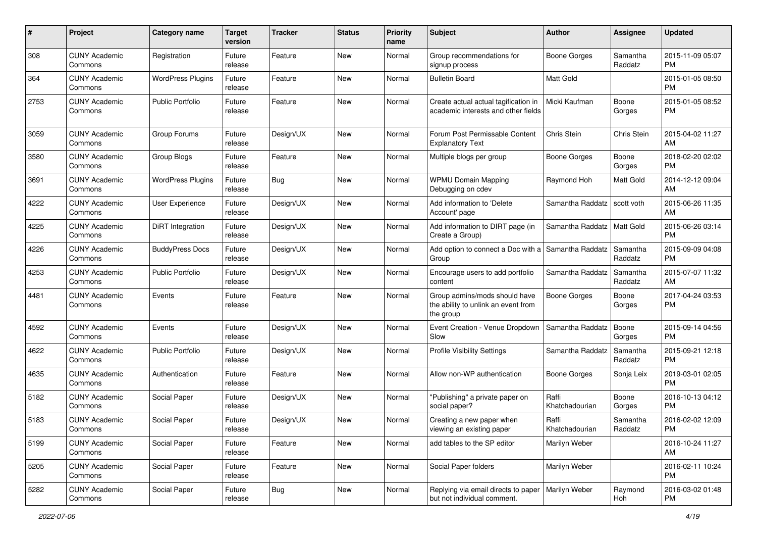| #    | Project                         | <b>Category name</b>     | <b>Target</b><br>version | <b>Tracker</b> | <b>Status</b> | Priority<br>name | <b>Subject</b>                                                                    | <b>Author</b>           | <b>Assignee</b>     | <b>Updated</b>                |
|------|---------------------------------|--------------------------|--------------------------|----------------|---------------|------------------|-----------------------------------------------------------------------------------|-------------------------|---------------------|-------------------------------|
| 308  | <b>CUNY Academic</b><br>Commons | Registration             | Future<br>release        | Feature        | New           | Normal           | Group recommendations for<br>signup process                                       | <b>Boone Gorges</b>     | Samantha<br>Raddatz | 2015-11-09 05:07<br><b>PM</b> |
| 364  | <b>CUNY Academic</b><br>Commons | <b>WordPress Plugins</b> | Future<br>release        | Feature        | New           | Normal           | <b>Bulletin Board</b>                                                             | Matt Gold               |                     | 2015-01-05 08:50<br><b>PM</b> |
| 2753 | <b>CUNY Academic</b><br>Commons | <b>Public Portfolio</b>  | Future<br>release        | Feature        | New           | Normal           | Create actual actual tagification in<br>academic interests and other fields       | Micki Kaufman           | Boone<br>Gorges     | 2015-01-05 08:52<br><b>PM</b> |
| 3059 | <b>CUNY Academic</b><br>Commons | Group Forums             | Future<br>release        | Design/UX      | New           | Normal           | Forum Post Permissable Content<br><b>Explanatory Text</b>                         | Chris Stein             | Chris Stein         | 2015-04-02 11:27<br>AM        |
| 3580 | <b>CUNY Academic</b><br>Commons | Group Blogs              | Future<br>release        | Feature        | New           | Normal           | Multiple blogs per group                                                          | Boone Gorges            | Boone<br>Gorges     | 2018-02-20 02:02<br><b>PM</b> |
| 3691 | <b>CUNY Academic</b><br>Commons | <b>WordPress Plugins</b> | Future<br>release        | <b>Bug</b>     | New           | Normal           | <b>WPMU Domain Mapping</b><br>Debugging on cdev                                   | Raymond Hoh             | Matt Gold           | 2014-12-12 09:04<br>AM        |
| 4222 | <b>CUNY Academic</b><br>Commons | User Experience          | Future<br>release        | Design/UX      | New           | Normal           | Add information to 'Delete<br>Account' page                                       | Samantha Raddatz        | scott voth          | 2015-06-26 11:35<br>AM        |
| 4225 | <b>CUNY Academic</b><br>Commons | DiRT Integration         | Future<br>release        | Design/UX      | New           | Normal           | Add information to DIRT page (in<br>Create a Group)                               | Samantha Raddatz        | Matt Gold           | 2015-06-26 03:14<br><b>PM</b> |
| 4226 | <b>CUNY Academic</b><br>Commons | <b>BuddyPress Docs</b>   | Future<br>release        | Design/UX      | New           | Normal           | Add option to connect a Doc with a<br>Group                                       | Samantha Raddatz        | Samantha<br>Raddatz | 2015-09-09 04:08<br><b>PM</b> |
| 4253 | <b>CUNY Academic</b><br>Commons | <b>Public Portfolio</b>  | Future<br>release        | Design/UX      | New           | Normal           | Encourage users to add portfolio<br>content                                       | Samantha Raddatz        | Samantha<br>Raddatz | 2015-07-07 11:32<br>AM        |
| 4481 | <b>CUNY Academic</b><br>Commons | Events                   | Future<br>release        | Feature        | New           | Normal           | Group admins/mods should have<br>the ability to unlink an event from<br>the group | <b>Boone Gorges</b>     | Boone<br>Gorges     | 2017-04-24 03:53<br><b>PM</b> |
| 4592 | <b>CUNY Academic</b><br>Commons | Events                   | Future<br>release        | Design/UX      | New           | Normal           | Event Creation - Venue Dropdown<br>Slow                                           | Samantha Raddatz        | Boone<br>Gorges     | 2015-09-14 04:56<br><b>PM</b> |
| 4622 | <b>CUNY Academic</b><br>Commons | <b>Public Portfolio</b>  | Future<br>release        | Design/UX      | New           | Normal           | <b>Profile Visibility Settings</b>                                                | Samantha Raddatz        | Samantha<br>Raddatz | 2015-09-21 12:18<br><b>PM</b> |
| 4635 | <b>CUNY Academic</b><br>Commons | Authentication           | Future<br>release        | Feature        | New           | Normal           | Allow non-WP authentication                                                       | Boone Gorges            | Sonja Leix          | 2019-03-01 02:05<br><b>PM</b> |
| 5182 | <b>CUNY Academic</b><br>Commons | Social Paper             | Future<br>release        | Design/UX      | New           | Normal           | "Publishing" a private paper on<br>social paper?                                  | Raffi<br>Khatchadourian | Boone<br>Gorges     | 2016-10-13 04:12<br><b>PM</b> |
| 5183 | <b>CUNY Academic</b><br>Commons | Social Paper             | Future<br>release        | Design/UX      | New           | Normal           | Creating a new paper when<br>viewing an existing paper                            | Raffi<br>Khatchadourian | Samantha<br>Raddatz | 2016-02-02 12:09<br>PM        |
| 5199 | <b>CUNY Academic</b><br>Commons | Social Paper             | Future<br>release        | Feature        | New           | Normal           | add tables to the SP editor                                                       | Marilyn Weber           |                     | 2016-10-24 11:27<br>AM        |
| 5205 | <b>CUNY Academic</b><br>Commons | Social Paper             | Future<br>release        | Feature        | New           | Normal           | Social Paper folders                                                              | Marilyn Weber           |                     | 2016-02-11 10:24<br><b>PM</b> |
| 5282 | <b>CUNY Academic</b><br>Commons | Social Paper             | Future<br>release        | <b>Bug</b>     | New           | Normal           | Replying via email directs to paper<br>but not individual comment.                | Marilyn Weber           | Raymond<br>Hoh      | 2016-03-02 01:48<br><b>PM</b> |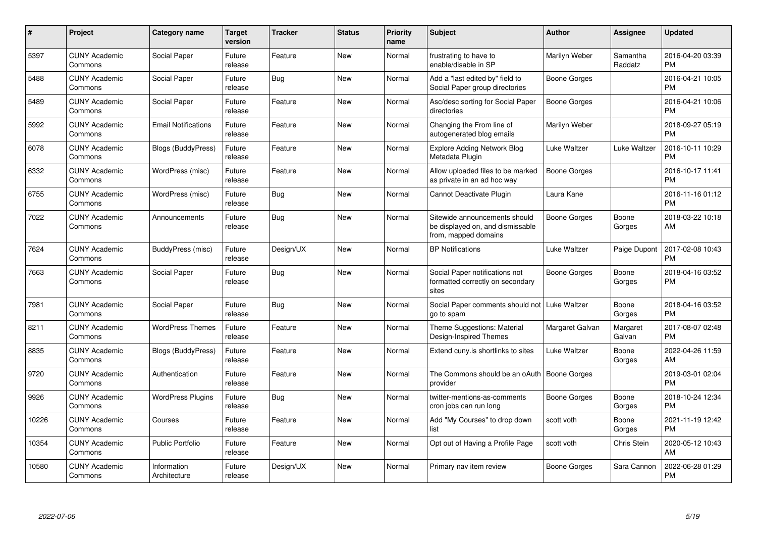| $\pmb{\#}$ | Project                         | <b>Category name</b>        | <b>Target</b><br>version | <b>Tracker</b> | <b>Status</b> | <b>Priority</b><br>name | <b>Subject</b>                                                                            | <b>Author</b>       | <b>Assignee</b>     | <b>Updated</b>                |
|------------|---------------------------------|-----------------------------|--------------------------|----------------|---------------|-------------------------|-------------------------------------------------------------------------------------------|---------------------|---------------------|-------------------------------|
| 5397       | <b>CUNY Academic</b><br>Commons | Social Paper                | Future<br>release        | Feature        | New           | Normal                  | frustrating to have to<br>enable/disable in SP                                            | Marilyn Weber       | Samantha<br>Raddatz | 2016-04-20 03:39<br><b>PM</b> |
| 5488       | <b>CUNY Academic</b><br>Commons | Social Paper                | Future<br>release        | <b>Bug</b>     | New           | Normal                  | Add a "last edited by" field to<br>Social Paper group directories                         | Boone Gorges        |                     | 2016-04-21 10:05<br><b>PM</b> |
| 5489       | <b>CUNY Academic</b><br>Commons | Social Paper                | Future<br>release        | Feature        | New           | Normal                  | Asc/desc sorting for Social Paper<br>directories                                          | <b>Boone Gorges</b> |                     | 2016-04-21 10:06<br><b>PM</b> |
| 5992       | <b>CUNY Academic</b><br>Commons | <b>Email Notifications</b>  | Future<br>release        | Feature        | <b>New</b>    | Normal                  | Changing the From line of<br>autogenerated blog emails                                    | Marilyn Weber       |                     | 2018-09-27 05:19<br><b>PM</b> |
| 6078       | <b>CUNY Academic</b><br>Commons | <b>Blogs (BuddyPress)</b>   | Future<br>release        | Feature        | <b>New</b>    | Normal                  | <b>Explore Adding Network Blog</b><br>Metadata Plugin                                     | Luke Waltzer        | Luke Waltzer        | 2016-10-11 10:29<br><b>PM</b> |
| 6332       | <b>CUNY Academic</b><br>Commons | WordPress (misc)            | Future<br>release        | Feature        | <b>New</b>    | Normal                  | Allow uploaded files to be marked<br>as private in an ad hoc way                          | <b>Boone Gorges</b> |                     | 2016-10-17 11:41<br><b>PM</b> |
| 6755       | <b>CUNY Academic</b><br>Commons | WordPress (misc)            | Future<br>release        | <b>Bug</b>     | <b>New</b>    | Normal                  | Cannot Deactivate Plugin                                                                  | Laura Kane          |                     | 2016-11-16 01:12<br><b>PM</b> |
| 7022       | <b>CUNY Academic</b><br>Commons | Announcements               | Future<br>release        | <b>Bug</b>     | <b>New</b>    | Normal                  | Sitewide announcements should<br>be displayed on, and dismissable<br>from, mapped domains | <b>Boone Gorges</b> | Boone<br>Gorges     | 2018-03-22 10:18<br>AM        |
| 7624       | <b>CUNY Academic</b><br>Commons | BuddyPress (misc)           | Future<br>release        | Design/UX      | <b>New</b>    | Normal                  | <b>BP Notifications</b>                                                                   | Luke Waltzer        | Paige Dupont        | 2017-02-08 10:43<br><b>PM</b> |
| 7663       | <b>CUNY Academic</b><br>Commons | Social Paper                | Future<br>release        | <b>Bug</b>     | <b>New</b>    | Normal                  | Social Paper notifications not<br>formatted correctly on secondary<br>sites               | Boone Gorges        | Boone<br>Gorges     | 2018-04-16 03:52<br><b>PM</b> |
| 7981       | <b>CUNY Academic</b><br>Commons | Social Paper                | Future<br>release        | <b>Bug</b>     | <b>New</b>    | Normal                  | Social Paper comments should not<br>go to spam                                            | Luke Waltzer        | Boone<br>Gorges     | 2018-04-16 03:52<br><b>PM</b> |
| 8211       | <b>CUNY Academic</b><br>Commons | <b>WordPress Themes</b>     | Future<br>release        | Feature        | <b>New</b>    | Normal                  | Theme Suggestions: Material<br>Design-Inspired Themes                                     | Margaret Galvan     | Margaret<br>Galvan  | 2017-08-07 02:48<br><b>PM</b> |
| 8835       | <b>CUNY Academic</b><br>Commons | <b>Blogs (BuddyPress)</b>   | Future<br>release        | Feature        | New           | Normal                  | Extend cuny is shortlinks to sites                                                        | Luke Waltzer        | Boone<br>Gorges     | 2022-04-26 11:59<br>AM        |
| 9720       | <b>CUNY Academic</b><br>Commons | Authentication              | Future<br>release        | Feature        | <b>New</b>    | Normal                  | The Commons should be an oAuth<br>provider                                                | Boone Gorges        |                     | 2019-03-01 02:04<br><b>PM</b> |
| 9926       | <b>CUNY Academic</b><br>Commons | <b>WordPress Plugins</b>    | Future<br>release        | <b>Bug</b>     | New           | Normal                  | twitter-mentions-as-comments<br>cron jobs can run long                                    | Boone Gorges        | Boone<br>Gorges     | 2018-10-24 12:34<br><b>PM</b> |
| 10226      | <b>CUNY Academic</b><br>Commons | Courses                     | Future<br>release        | Feature        | New           | Normal                  | Add "My Courses" to drop down<br>list                                                     | scott voth          | Boone<br>Gorges     | 2021-11-19 12:42<br><b>PM</b> |
| 10354      | <b>CUNY Academic</b><br>Commons | <b>Public Portfolio</b>     | Future<br>release        | Feature        | <b>New</b>    | Normal                  | Opt out of Having a Profile Page                                                          | scott voth          | <b>Chris Stein</b>  | 2020-05-12 10:43<br>AM        |
| 10580      | <b>CUNY Academic</b><br>Commons | Information<br>Architecture | Future<br>release        | Design/UX      | <b>New</b>    | Normal                  | Primary nav item review                                                                   | Boone Gorges        | Sara Cannon         | 2022-06-28 01:29<br><b>PM</b> |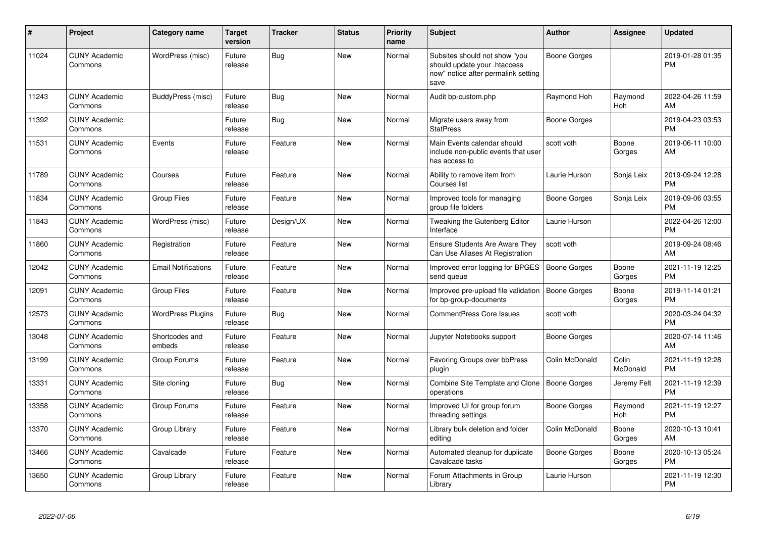| #     | Project                         | Category name              | <b>Target</b><br>version | <b>Tracker</b> | <b>Status</b> | <b>Priority</b><br>name | <b>Subject</b>                                                                                               | Author              | <b>Assignee</b>   | <b>Updated</b>                |
|-------|---------------------------------|----------------------------|--------------------------|----------------|---------------|-------------------------|--------------------------------------------------------------------------------------------------------------|---------------------|-------------------|-------------------------------|
| 11024 | <b>CUNY Academic</b><br>Commons | WordPress (misc)           | Future<br>release        | Bug            | <b>New</b>    | Normal                  | Subsites should not show "you<br>should update your .htaccess<br>now" notice after permalink setting<br>save | Boone Gorges        |                   | 2019-01-28 01:35<br><b>PM</b> |
| 11243 | <b>CUNY Academic</b><br>Commons | BuddyPress (misc)          | Future<br>release        | Bug            | New           | Normal                  | Audit bp-custom.php                                                                                          | Raymond Hoh         | Raymond<br>Hoh    | 2022-04-26 11:59<br>AM        |
| 11392 | <b>CUNY Academic</b><br>Commons |                            | Future<br>release        | Bug            | New           | Normal                  | Migrate users away from<br><b>StatPress</b>                                                                  | Boone Gorges        |                   | 2019-04-23 03:53<br><b>PM</b> |
| 11531 | <b>CUNY Academic</b><br>Commons | Events                     | Future<br>release        | Feature        | <b>New</b>    | Normal                  | Main Events calendar should<br>include non-public events that user<br>has access to                          | scott voth          | Boone<br>Gorges   | 2019-06-11 10:00<br>AM        |
| 11789 | <b>CUNY Academic</b><br>Commons | Courses                    | Future<br>release        | Feature        | New           | Normal                  | Ability to remove item from<br>Courses list                                                                  | Laurie Hurson       | Sonja Leix        | 2019-09-24 12:28<br><b>PM</b> |
| 11834 | <b>CUNY Academic</b><br>Commons | <b>Group Files</b>         | Future<br>release        | Feature        | New           | Normal                  | Improved tools for managing<br>group file folders                                                            | <b>Boone Gorges</b> | Sonja Leix        | 2019-09-06 03:55<br><b>PM</b> |
| 11843 | <b>CUNY Academic</b><br>Commons | WordPress (misc)           | Future<br>release        | Design/UX      | New           | Normal                  | <b>Tweaking the Gutenberg Editor</b><br>Interface                                                            | Laurie Hurson       |                   | 2022-04-26 12:00<br><b>PM</b> |
| 11860 | <b>CUNY Academic</b><br>Commons | Registration               | Future<br>release        | Feature        | New           | Normal                  | <b>Ensure Students Are Aware They</b><br>Can Use Aliases At Registration                                     | scott voth          |                   | 2019-09-24 08:46<br>AM        |
| 12042 | <b>CUNY Academic</b><br>Commons | <b>Email Notifications</b> | Future<br>release        | Feature        | <b>New</b>    | Normal                  | Improved error logging for BPGES<br>send queue                                                               | Boone Gorges        | Boone<br>Gorges   | 2021-11-19 12:25<br><b>PM</b> |
| 12091 | <b>CUNY Academic</b><br>Commons | <b>Group Files</b>         | Future<br>release        | Feature        | <b>New</b>    | Normal                  | Improved pre-upload file validation<br>for bp-group-documents                                                | Boone Gorges        | Boone<br>Gorges   | 2019-11-14 01:21<br><b>PM</b> |
| 12573 | <b>CUNY Academic</b><br>Commons | <b>WordPress Plugins</b>   | Future<br>release        | Bug            | <b>New</b>    | Normal                  | <b>CommentPress Core Issues</b>                                                                              | scott voth          |                   | 2020-03-24 04:32<br><b>PM</b> |
| 13048 | <b>CUNY Academic</b><br>Commons | Shortcodes and<br>embeds   | Future<br>release        | Feature        | <b>New</b>    | Normal                  | Jupyter Notebooks support                                                                                    | Boone Gorges        |                   | 2020-07-14 11:46<br>AM        |
| 13199 | <b>CUNY Academic</b><br>Commons | Group Forums               | Future<br>release        | Feature        | New           | Normal                  | Favoring Groups over bbPress<br>plugin                                                                       | Colin McDonald      | Colin<br>McDonald | 2021-11-19 12:28<br><b>PM</b> |
| 13331 | <b>CUNY Academic</b><br>Commons | Site cloning               | Future<br>release        | Bug            | <b>New</b>    | Normal                  | Combine Site Template and Clone<br>operations                                                                | Boone Gorges        | Jeremy Felt       | 2021-11-19 12:39<br><b>PM</b> |
| 13358 | <b>CUNY Academic</b><br>Commons | Group Forums               | Future<br>release        | Feature        | New           | Normal                  | Improved UI for group forum<br>threading settings                                                            | Boone Gorges        | Raymond<br>Hoh    | 2021-11-19 12:27<br><b>PM</b> |
| 13370 | <b>CUNY Academic</b><br>Commons | Group Library              | Future<br>release        | Feature        | New           | Normal                  | Library bulk deletion and folder<br>editing                                                                  | Colin McDonald      | Boone<br>Gorges   | 2020-10-13 10:41<br>AM        |
| 13466 | <b>CUNY Academic</b><br>Commons | Cavalcade                  | Future<br>release        | Feature        | <b>New</b>    | Normal                  | Automated cleanup for duplicate<br>Cavalcade tasks                                                           | Boone Gorges        | Boone<br>Gorges   | 2020-10-13 05:24<br><b>PM</b> |
| 13650 | <b>CUNY Academic</b><br>Commons | Group Library              | Future<br>release        | Feature        | <b>New</b>    | Normal                  | Forum Attachments in Group<br>Library                                                                        | Laurie Hurson       |                   | 2021-11-19 12:30<br>PM        |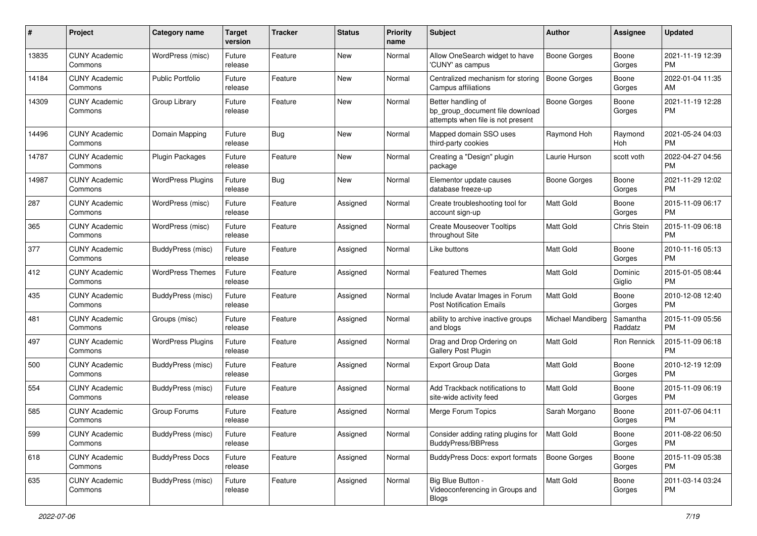| #     | Project                         | <b>Category name</b>     | <b>Target</b><br>version | <b>Tracker</b> | <b>Status</b> | <b>Priority</b><br>name | <b>Subject</b>                                                                             | <b>Author</b>            | <b>Assignee</b>     | <b>Updated</b>                |
|-------|---------------------------------|--------------------------|--------------------------|----------------|---------------|-------------------------|--------------------------------------------------------------------------------------------|--------------------------|---------------------|-------------------------------|
| 13835 | <b>CUNY Academic</b><br>Commons | WordPress (misc)         | Future<br>release        | Feature        | New           | Normal                  | Allow OneSearch widget to have<br>'CUNY' as campus                                         | <b>Boone Gorges</b>      | Boone<br>Gorges     | 2021-11-19 12:39<br><b>PM</b> |
| 14184 | <b>CUNY Academic</b><br>Commons | <b>Public Portfolio</b>  | Future<br>release        | Feature        | New           | Normal                  | Centralized mechanism for storing<br>Campus affiliations                                   | <b>Boone Gorges</b>      | Boone<br>Gorges     | 2022-01-04 11:35<br>AM        |
| 14309 | <b>CUNY Academic</b><br>Commons | Group Library            | Future<br>release        | Feature        | New           | Normal                  | Better handling of<br>bp group document file download<br>attempts when file is not present | <b>Boone Gorges</b>      | Boone<br>Gorges     | 2021-11-19 12:28<br><b>PM</b> |
| 14496 | <b>CUNY Academic</b><br>Commons | Domain Mapping           | Future<br>release        | <b>Bug</b>     | New           | Normal                  | Mapped domain SSO uses<br>third-party cookies                                              | Raymond Hoh              | Raymond<br>Hoh      | 2021-05-24 04:03<br><b>PM</b> |
| 14787 | <b>CUNY Academic</b><br>Commons | Plugin Packages          | Future<br>release        | Feature        | New           | Normal                  | Creating a "Design" plugin<br>package                                                      | Laurie Hurson            | scott voth          | 2022-04-27 04:56<br><b>PM</b> |
| 14987 | <b>CUNY Academic</b><br>Commons | <b>WordPress Plugins</b> | Future<br>release        | <b>Bug</b>     | New           | Normal                  | Elementor update causes<br>database freeze-up                                              | <b>Boone Gorges</b>      | Boone<br>Gorges     | 2021-11-29 12:02<br><b>PM</b> |
| 287   | <b>CUNY Academic</b><br>Commons | WordPress (misc)         | Future<br>release        | Feature        | Assigned      | Normal                  | Create troubleshooting tool for<br>account sign-up                                         | <b>Matt Gold</b>         | Boone<br>Gorges     | 2015-11-09 06:17<br><b>PM</b> |
| 365   | <b>CUNY Academic</b><br>Commons | WordPress (misc)         | Future<br>release        | Feature        | Assigned      | Normal                  | <b>Create Mouseover Tooltips</b><br>throughout Site                                        | Matt Gold                | Chris Stein         | 2015-11-09 06:18<br><b>PM</b> |
| 377   | <b>CUNY Academic</b><br>Commons | BuddyPress (misc)        | Future<br>release        | Feature        | Assigned      | Normal                  | Like buttons                                                                               | <b>Matt Gold</b>         | Boone<br>Gorges     | 2010-11-16 05:13<br><b>PM</b> |
| 412   | <b>CUNY Academic</b><br>Commons | <b>WordPress Themes</b>  | Future<br>release        | Feature        | Assigned      | Normal                  | <b>Featured Themes</b>                                                                     | <b>Matt Gold</b>         | Dominic<br>Giglio   | 2015-01-05 08:44<br><b>PM</b> |
| 435   | <b>CUNY Academic</b><br>Commons | BuddyPress (misc)        | Future<br>release        | Feature        | Assigned      | Normal                  | Include Avatar Images in Forum<br><b>Post Notification Emails</b>                          | Matt Gold                | Boone<br>Gorges     | 2010-12-08 12:40<br><b>PM</b> |
| 481   | <b>CUNY Academic</b><br>Commons | Groups (misc)            | Future<br>release        | Feature        | Assigned      | Normal                  | ability to archive inactive groups<br>and blogs                                            | <b>Michael Mandiberg</b> | Samantha<br>Raddatz | 2015-11-09 05:56<br><b>PM</b> |
| 497   | <b>CUNY Academic</b><br>Commons | <b>WordPress Plugins</b> | Future<br>release        | Feature        | Assigned      | Normal                  | Drag and Drop Ordering on<br>Gallery Post Plugin                                           | Matt Gold                | Ron Rennick         | 2015-11-09 06:18<br><b>PM</b> |
| 500   | <b>CUNY Academic</b><br>Commons | BuddyPress (misc)        | Future<br>release        | Feature        | Assigned      | Normal                  | <b>Export Group Data</b>                                                                   | Matt Gold                | Boone<br>Gorges     | 2010-12-19 12:09<br><b>PM</b> |
| 554   | <b>CUNY Academic</b><br>Commons | BuddyPress (misc)        | Future<br>release        | Feature        | Assigned      | Normal                  | Add Trackback notifications to<br>site-wide activity feed                                  | Matt Gold                | Boone<br>Gorges     | 2015-11-09 06:19<br><b>PM</b> |
| 585   | <b>CUNY Academic</b><br>Commons | Group Forums             | Future<br>release        | Feature        | Assigned      | Normal                  | Merge Forum Topics                                                                         | Sarah Morgano            | Boone<br>Gorges     | 2011-07-06 04:11<br><b>PM</b> |
| 599   | <b>CUNY Academic</b><br>Commons | BuddyPress (misc)        | Future<br>release        | Feature        | Assigned      | Normal                  | Consider adding rating plugins for<br><b>BuddyPress/BBPress</b>                            | Matt Gold                | Boone<br>Gorges     | 2011-08-22 06:50<br><b>PM</b> |
| 618   | <b>CUNY Academic</b><br>Commons | <b>BuddyPress Docs</b>   | Future<br>release        | Feature        | Assigned      | Normal                  | <b>BuddyPress Docs: export formats</b>                                                     | <b>Boone Gorges</b>      | Boone<br>Gorges     | 2015-11-09 05:38<br><b>PM</b> |
| 635   | <b>CUNY Academic</b><br>Commons | BuddyPress (misc)        | Future<br>release        | Feature        | Assigned      | Normal                  | Big Blue Button -<br>Videoconferencing in Groups and<br><b>Blogs</b>                       | Matt Gold                | Boone<br>Gorges     | 2011-03-14 03:24<br><b>PM</b> |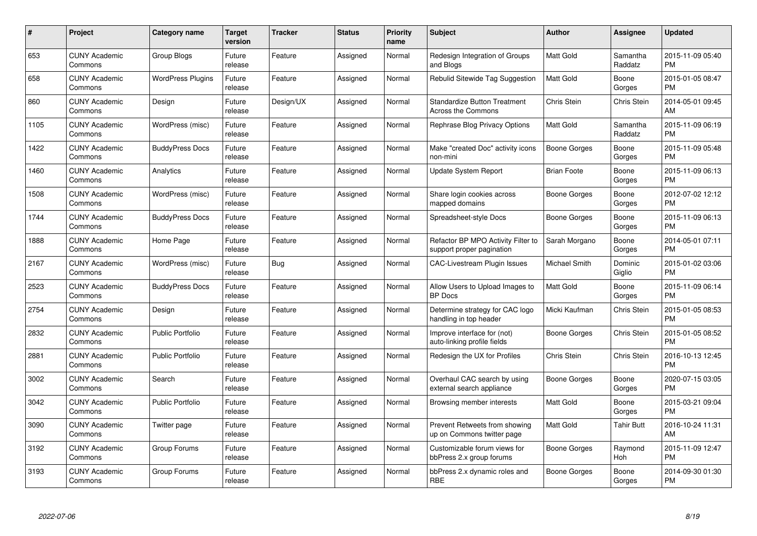| $\#$ | Project                         | <b>Category name</b>     | <b>Target</b><br>version | <b>Tracker</b> | <b>Status</b> | <b>Priority</b><br>name | <b>Subject</b>                                                  | <b>Author</b>       | <b>Assignee</b>     | <b>Updated</b>                |
|------|---------------------------------|--------------------------|--------------------------|----------------|---------------|-------------------------|-----------------------------------------------------------------|---------------------|---------------------|-------------------------------|
| 653  | <b>CUNY Academic</b><br>Commons | <b>Group Blogs</b>       | Future<br>release        | Feature        | Assigned      | Normal                  | Redesign Integration of Groups<br>and Blogs                     | <b>Matt Gold</b>    | Samantha<br>Raddatz | 2015-11-09 05:40<br><b>PM</b> |
| 658  | <b>CUNY Academic</b><br>Commons | <b>WordPress Plugins</b> | Future<br>release        | Feature        | Assigned      | Normal                  | Rebulid Sitewide Tag Suggestion                                 | <b>Matt Gold</b>    | Boone<br>Gorges     | 2015-01-05 08:47<br><b>PM</b> |
| 860  | <b>CUNY Academic</b><br>Commons | Design                   | Future<br>release        | Design/UX      | Assigned      | Normal                  | <b>Standardize Button Treatment</b><br>Across the Commons       | Chris Stein         | Chris Stein         | 2014-05-01 09:45<br>AM        |
| 1105 | <b>CUNY Academic</b><br>Commons | WordPress (misc)         | Future<br>release        | Feature        | Assigned      | Normal                  | Rephrase Blog Privacy Options                                   | Matt Gold           | Samantha<br>Raddatz | 2015-11-09 06:19<br><b>PM</b> |
| 1422 | <b>CUNY Academic</b><br>Commons | <b>BuddyPress Docs</b>   | Future<br>release        | Feature        | Assigned      | Normal                  | Make "created Doc" activity icons<br>non-mini                   | <b>Boone Gorges</b> | Boone<br>Gorges     | 2015-11-09 05:48<br><b>PM</b> |
| 1460 | <b>CUNY Academic</b><br>Commons | Analytics                | Future<br>release        | Feature        | Assigned      | Normal                  | <b>Update System Report</b>                                     | <b>Brian Foote</b>  | Boone<br>Gorges     | 2015-11-09 06:13<br><b>PM</b> |
| 1508 | <b>CUNY Academic</b><br>Commons | WordPress (misc)         | Future<br>release        | Feature        | Assigned      | Normal                  | Share login cookies across<br>mapped domains                    | Boone Gorges        | Boone<br>Gorges     | 2012-07-02 12:12<br><b>PM</b> |
| 1744 | <b>CUNY Academic</b><br>Commons | <b>BuddyPress Docs</b>   | Future<br>release        | Feature        | Assigned      | Normal                  | Spreadsheet-style Docs                                          | <b>Boone Gorges</b> | Boone<br>Gorges     | 2015-11-09 06:13<br><b>PM</b> |
| 1888 | <b>CUNY Academic</b><br>Commons | Home Page                | Future<br>release        | Feature        | Assigned      | Normal                  | Refactor BP MPO Activity Filter to<br>support proper pagination | Sarah Morgano       | Boone<br>Gorges     | 2014-05-01 07:11<br><b>PM</b> |
| 2167 | <b>CUNY Academic</b><br>Commons | WordPress (misc)         | Future<br>release        | Bug            | Assigned      | Normal                  | CAC-Livestream Plugin Issues                                    | Michael Smith       | Dominic<br>Giglio   | 2015-01-02 03:06<br><b>PM</b> |
| 2523 | <b>CUNY Academic</b><br>Commons | <b>BuddyPress Docs</b>   | Future<br>release        | Feature        | Assigned      | Normal                  | Allow Users to Upload Images to<br><b>BP</b> Docs               | Matt Gold           | Boone<br>Gorges     | 2015-11-09 06:14<br><b>PM</b> |
| 2754 | <b>CUNY Academic</b><br>Commons | Design                   | Future<br>release        | Feature        | Assigned      | Normal                  | Determine strategy for CAC logo<br>handling in top header       | Micki Kaufman       | Chris Stein         | 2015-01-05 08:53<br><b>PM</b> |
| 2832 | <b>CUNY Academic</b><br>Commons | <b>Public Portfolio</b>  | Future<br>release        | Feature        | Assigned      | Normal                  | Improve interface for (not)<br>auto-linking profile fields      | Boone Gorges        | Chris Stein         | 2015-01-05 08:52<br><b>PM</b> |
| 2881 | <b>CUNY Academic</b><br>Commons | <b>Public Portfolio</b>  | Future<br>release        | Feature        | Assigned      | Normal                  | Redesign the UX for Profiles                                    | Chris Stein         | Chris Stein         | 2016-10-13 12:45<br><b>PM</b> |
| 3002 | <b>CUNY Academic</b><br>Commons | Search                   | Future<br>release        | Feature        | Assigned      | Normal                  | Overhaul CAC search by using<br>external search appliance       | Boone Gorges        | Boone<br>Gorges     | 2020-07-15 03:05<br><b>PM</b> |
| 3042 | <b>CUNY Academic</b><br>Commons | <b>Public Portfolio</b>  | Future<br>release        | Feature        | Assigned      | Normal                  | Browsing member interests                                       | Matt Gold           | Boone<br>Gorges     | 2015-03-21 09:04<br><b>PM</b> |
| 3090 | <b>CUNY Academic</b><br>Commons | Twitter page             | Future<br>release        | Feature        | Assigned      | Normal                  | Prevent Retweets from showing<br>up on Commons twitter page     | <b>Matt Gold</b>    | <b>Tahir Butt</b>   | 2016-10-24 11:31<br>AM        |
| 3192 | <b>CUNY Academic</b><br>Commons | Group Forums             | Future<br>release        | Feature        | Assigned      | Normal                  | Customizable forum views for<br>bbPress 2.x group forums        | Boone Gorges        | Raymond<br>Hoh      | 2015-11-09 12:47<br><b>PM</b> |
| 3193 | CUNY Academic<br>Commons        | Group Forums             | Future<br>release        | Feature        | Assigned      | Normal                  | bbPress 2.x dynamic roles and<br><b>RBE</b>                     | Boone Gorges        | Boone<br>Gorges     | 2014-09-30 01:30<br>PM        |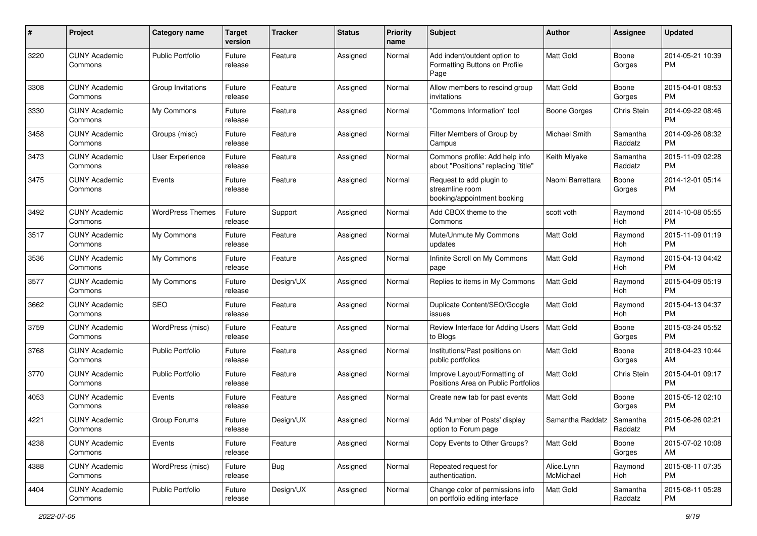| #    | Project                         | <b>Category name</b>    | <b>Target</b><br>version | <b>Tracker</b> | <b>Status</b> | <b>Priority</b><br>name | Subject                                                                    | Author                  | <b>Assignee</b>     | <b>Updated</b>                |
|------|---------------------------------|-------------------------|--------------------------|----------------|---------------|-------------------------|----------------------------------------------------------------------------|-------------------------|---------------------|-------------------------------|
| 3220 | <b>CUNY Academic</b><br>Commons | <b>Public Portfolio</b> | Future<br>release        | Feature        | Assigned      | Normal                  | Add indent/outdent option to<br>Formatting Buttons on Profile<br>Page      | <b>Matt Gold</b>        | Boone<br>Gorges     | 2014-05-21 10:39<br><b>PM</b> |
| 3308 | <b>CUNY Academic</b><br>Commons | Group Invitations       | Future<br>release        | Feature        | Assigned      | Normal                  | Allow members to rescind group<br>invitations                              | <b>Matt Gold</b>        | Boone<br>Gorges     | 2015-04-01 08:53<br><b>PM</b> |
| 3330 | <b>CUNY Academic</b><br>Commons | My Commons              | Future<br>release        | Feature        | Assigned      | Normal                  | 'Commons Information" tool                                                 | <b>Boone Gorges</b>     | Chris Stein         | 2014-09-22 08:46<br><b>PM</b> |
| 3458 | <b>CUNY Academic</b><br>Commons | Groups (misc)           | Future<br>release        | Feature        | Assigned      | Normal                  | Filter Members of Group by<br>Campus                                       | Michael Smith           | Samantha<br>Raddatz | 2014-09-26 08:32<br><b>PM</b> |
| 3473 | <b>CUNY Academic</b><br>Commons | User Experience         | Future<br>release        | Feature        | Assigned      | Normal                  | Commons profile: Add help info<br>about "Positions" replacing "title"      | Keith Miyake            | Samantha<br>Raddatz | 2015-11-09 02:28<br><b>PM</b> |
| 3475 | <b>CUNY Academic</b><br>Commons | Events                  | Future<br>release        | Feature        | Assigned      | Normal                  | Request to add plugin to<br>streamline room<br>booking/appointment booking | Naomi Barrettara        | Boone<br>Gorges     | 2014-12-01 05:14<br><b>PM</b> |
| 3492 | <b>CUNY Academic</b><br>Commons | <b>WordPress Themes</b> | Future<br>release        | Support        | Assigned      | Normal                  | Add CBOX theme to the<br>Commons                                           | scott voth              | Raymond<br>Hoh      | 2014-10-08 05:55<br><b>PM</b> |
| 3517 | <b>CUNY Academic</b><br>Commons | My Commons              | Future<br>release        | Feature        | Assigned      | Normal                  | Mute/Unmute My Commons<br>updates                                          | Matt Gold               | Raymond<br>Hoh      | 2015-11-09 01:19<br><b>PM</b> |
| 3536 | <b>CUNY Academic</b><br>Commons | My Commons              | Future<br>release        | Feature        | Assigned      | Normal                  | Infinite Scroll on My Commons<br>page                                      | Matt Gold               | Raymond<br>Hoh      | 2015-04-13 04:42<br><b>PM</b> |
| 3577 | <b>CUNY Academic</b><br>Commons | My Commons              | Future<br>release        | Design/UX      | Assigned      | Normal                  | Replies to items in My Commons                                             | <b>Matt Gold</b>        | Raymond<br>Hoh      | 2015-04-09 05:19<br><b>PM</b> |
| 3662 | <b>CUNY Academic</b><br>Commons | <b>SEO</b>              | Future<br>release        | Feature        | Assigned      | Normal                  | Duplicate Content/SEO/Google<br>issues                                     | <b>Matt Gold</b>        | Raymond<br>Hoh      | 2015-04-13 04:37<br><b>PM</b> |
| 3759 | <b>CUNY Academic</b><br>Commons | WordPress (misc)        | Future<br>release        | Feature        | Assigned      | Normal                  | Review Interface for Adding Users<br>to Blogs                              | <b>Matt Gold</b>        | Boone<br>Gorges     | 2015-03-24 05:52<br><b>PM</b> |
| 3768 | <b>CUNY Academic</b><br>Commons | Public Portfolio        | Future<br>release        | Feature        | Assigned      | Normal                  | Institutions/Past positions on<br>public portfolios                        | <b>Matt Gold</b>        | Boone<br>Gorges     | 2018-04-23 10:44<br>AM        |
| 3770 | <b>CUNY Academic</b><br>Commons | <b>Public Portfolio</b> | Future<br>release        | Feature        | Assigned      | Normal                  | Improve Layout/Formatting of<br>Positions Area on Public Portfolios        | <b>Matt Gold</b>        | Chris Stein         | 2015-04-01 09:17<br><b>PM</b> |
| 4053 | <b>CUNY Academic</b><br>Commons | Events                  | Future<br>release        | Feature        | Assigned      | Normal                  | Create new tab for past events                                             | <b>Matt Gold</b>        | Boone<br>Gorges     | 2015-05-12 02:10<br><b>PM</b> |
| 4221 | <b>CUNY Academic</b><br>Commons | Group Forums            | Future<br>release        | Design/UX      | Assigned      | Normal                  | Add 'Number of Posts' display<br>option to Forum page                      | Samantha Raddatz        | Samantha<br>Raddatz | 2015-06-26 02:21<br>PM        |
| 4238 | <b>CUNY Academic</b><br>Commons | Events                  | Future<br>release        | Feature        | Assigned      | Normal                  | Copy Events to Other Groups?                                               | Matt Gold               | Boone<br>Gorges     | 2015-07-02 10:08<br>AM        |
| 4388 | <b>CUNY Academic</b><br>Commons | WordPress (misc)        | Future<br>release        | <b>Bug</b>     | Assigned      | Normal                  | Repeated request for<br>authentication.                                    | Alice.Lynn<br>McMichael | Raymond<br>Hoh      | 2015-08-11 07:35<br><b>PM</b> |
| 4404 | <b>CUNY Academic</b><br>Commons | <b>Public Portfolio</b> | Future<br>release        | Design/UX      | Assigned      | Normal                  | Change color of permissions info<br>on portfolio editing interface         | Matt Gold               | Samantha<br>Raddatz | 2015-08-11 05:28<br><b>PM</b> |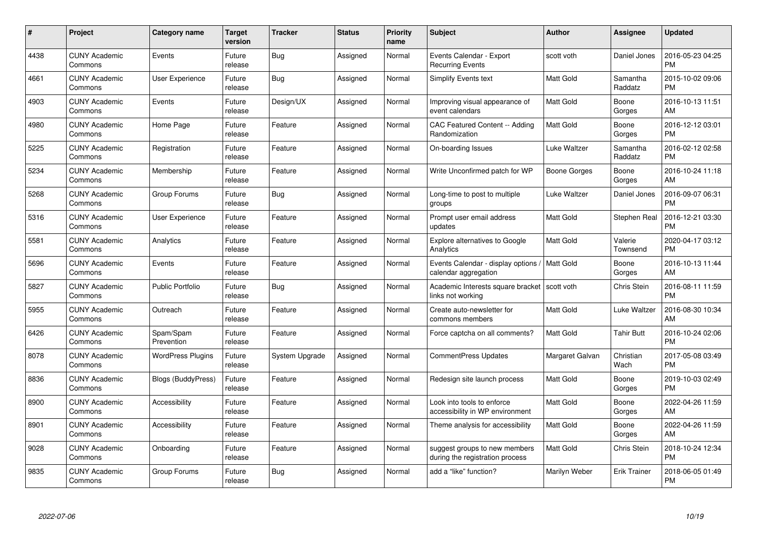| #    | Project                         | <b>Category name</b>     | <b>Target</b><br>version | <b>Tracker</b> | <b>Status</b> | <b>Priority</b><br>name | <b>Subject</b>                                                   | <b>Author</b>       | Assignee            | <b>Updated</b>                |
|------|---------------------------------|--------------------------|--------------------------|----------------|---------------|-------------------------|------------------------------------------------------------------|---------------------|---------------------|-------------------------------|
| 4438 | <b>CUNY Academic</b><br>Commons | Events                   | Future<br>release        | <b>Bug</b>     | Assigned      | Normal                  | Events Calendar - Export<br><b>Recurring Events</b>              | scott voth          | Daniel Jones        | 2016-05-23 04:25<br><b>PM</b> |
| 4661 | <b>CUNY Academic</b><br>Commons | <b>User Experience</b>   | Future<br>release        | <b>Bug</b>     | Assigned      | Normal                  | Simplify Events text                                             | <b>Matt Gold</b>    | Samantha<br>Raddatz | 2015-10-02 09:06<br><b>PM</b> |
| 4903 | <b>CUNY Academic</b><br>Commons | Events                   | Future<br>release        | Design/UX      | Assigned      | Normal                  | Improving visual appearance of<br>event calendars                | <b>Matt Gold</b>    | Boone<br>Gorges     | 2016-10-13 11:51<br>AM        |
| 4980 | <b>CUNY Academic</b><br>Commons | Home Page                | Future<br>release        | Feature        | Assigned      | Normal                  | CAC Featured Content -- Adding<br>Randomization                  | <b>Matt Gold</b>    | Boone<br>Gorges     | 2016-12-12 03:01<br><b>PM</b> |
| 5225 | <b>CUNY Academic</b><br>Commons | Registration             | Future<br>release        | Feature        | Assigned      | Normal                  | On-boarding Issues                                               | <b>Luke Waltzer</b> | Samantha<br>Raddatz | 2016-02-12 02:58<br><b>PM</b> |
| 5234 | <b>CUNY Academic</b><br>Commons | Membership               | Future<br>release        | Feature        | Assigned      | Normal                  | Write Unconfirmed patch for WP                                   | <b>Boone Gorges</b> | Boone<br>Gorges     | 2016-10-24 11:18<br>AM        |
| 5268 | <b>CUNY Academic</b><br>Commons | Group Forums             | Future<br>release        | Bug            | Assigned      | Normal                  | Long-time to post to multiple<br>groups                          | Luke Waltzer        | Daniel Jones        | 2016-09-07 06:31<br><b>PM</b> |
| 5316 | <b>CUNY Academic</b><br>Commons | <b>User Experience</b>   | Future<br>release        | Feature        | Assigned      | Normal                  | Prompt user email address<br>updates                             | <b>Matt Gold</b>    | Stephen Real        | 2016-12-21 03:30<br><b>PM</b> |
| 5581 | <b>CUNY Academic</b><br>Commons | Analytics                | Future<br>release        | Feature        | Assigned      | Normal                  | <b>Explore alternatives to Google</b><br>Analytics               | <b>Matt Gold</b>    | Valerie<br>Townsend | 2020-04-17 03:12<br><b>PM</b> |
| 5696 | <b>CUNY Academic</b><br>Commons | Events                   | Future<br>release        | Feature        | Assigned      | Normal                  | Events Calendar - display options<br>calendar aggregation        | Matt Gold           | Boone<br>Gorges     | 2016-10-13 11:44<br>AM        |
| 5827 | <b>CUNY Academic</b><br>Commons | <b>Public Portfolio</b>  | Future<br>release        | Bug            | Assigned      | Normal                  | Academic Interests square bracket<br>links not working           | scott voth          | Chris Stein         | 2016-08-11 11:59<br><b>PM</b> |
| 5955 | <b>CUNY Academic</b><br>Commons | Outreach                 | Future<br>release        | Feature        | Assigned      | Normal                  | Create auto-newsletter for<br>commons members                    | <b>Matt Gold</b>    | Luke Waltzer        | 2016-08-30 10:34<br>AM        |
| 6426 | <b>CUNY Academic</b><br>Commons | Spam/Spam<br>Prevention  | Future<br>release        | Feature        | Assigned      | Normal                  | Force captcha on all comments?                                   | <b>Matt Gold</b>    | <b>Tahir Butt</b>   | 2016-10-24 02:06<br><b>PM</b> |
| 8078 | <b>CUNY Academic</b><br>Commons | <b>WordPress Plugins</b> | Future<br>release        | System Upgrade | Assigned      | Normal                  | <b>CommentPress Updates</b>                                      | Margaret Galvan     | Christian<br>Wach   | 2017-05-08 03:49<br><b>PM</b> |
| 8836 | <b>CUNY Academic</b><br>Commons | Blogs (BuddyPress)       | Future<br>release        | Feature        | Assigned      | Normal                  | Redesign site launch process                                     | <b>Matt Gold</b>    | Boone<br>Gorges     | 2019-10-03 02:49<br><b>PM</b> |
| 8900 | <b>CUNY Academic</b><br>Commons | Accessibility            | Future<br>release        | Feature        | Assigned      | Normal                  | Look into tools to enforce<br>accessibility in WP environment    | Matt Gold           | Boone<br>Gorges     | 2022-04-26 11:59<br>AM        |
| 8901 | <b>CUNY Academic</b><br>Commons | Accessibility            | Future<br>release        | Feature        | Assigned      | Normal                  | Theme analysis for accessibility                                 | <b>Matt Gold</b>    | Boone<br>Gorges     | 2022-04-26 11:59<br>AM        |
| 9028 | <b>CUNY Academic</b><br>Commons | Onboarding               | Future<br>release        | Feature        | Assigned      | Normal                  | suggest groups to new members<br>during the registration process | <b>Matt Gold</b>    | Chris Stein         | 2018-10-24 12:34<br><b>PM</b> |
| 9835 | CUNY Academic<br>Commons        | Group Forums             | Future<br>release        | Bug            | Assigned      | Normal                  | add a "like" function?                                           | Marilyn Weber       | Erik Trainer        | 2018-06-05 01:49<br>PM        |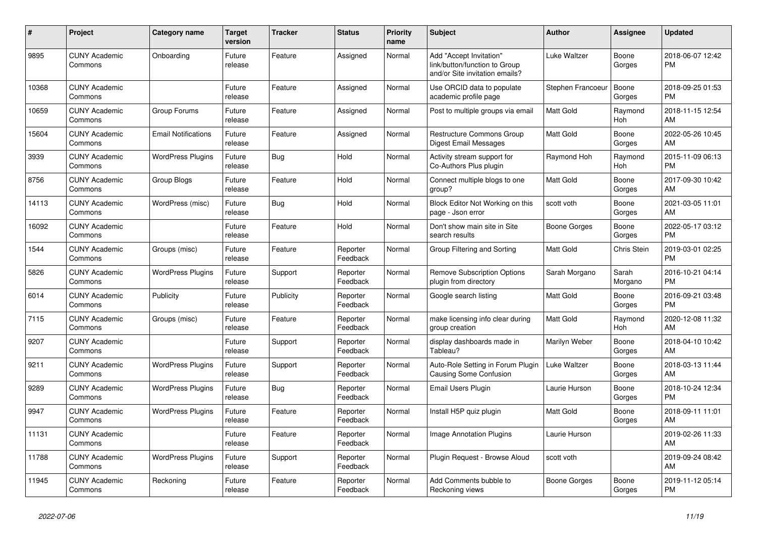| $\vert$ # | <b>Project</b>                  | Category name              | <b>Target</b><br>version | <b>Tracker</b> | <b>Status</b>        | <b>Priority</b><br>name | <b>Subject</b>                                                                             | <b>Author</b>     | Assignee         | <b>Updated</b>                |
|-----------|---------------------------------|----------------------------|--------------------------|----------------|----------------------|-------------------------|--------------------------------------------------------------------------------------------|-------------------|------------------|-------------------------------|
| 9895      | <b>CUNY Academic</b><br>Commons | Onboarding                 | Future<br>release        | Feature        | Assigned             | Normal                  | Add "Accept Invitation"<br>link/button/function to Group<br>and/or Site invitation emails? | Luke Waltzer      | Boone<br>Gorges  | 2018-06-07 12:42<br><b>PM</b> |
| 10368     | <b>CUNY Academic</b><br>Commons |                            | Future<br>release        | Feature        | Assigned             | Normal                  | Use ORCID data to populate<br>academic profile page                                        | Stephen Francoeur | Boone<br>Gorges  | 2018-09-25 01:53<br><b>PM</b> |
| 10659     | <b>CUNY Academic</b><br>Commons | Group Forums               | Future<br>release        | Feature        | Assigned             | Normal                  | Post to multiple groups via email                                                          | <b>Matt Gold</b>  | Raymond<br>Hoh   | 2018-11-15 12:54<br>AM        |
| 15604     | <b>CUNY Academic</b><br>Commons | <b>Email Notifications</b> | Future<br>release        | Feature        | Assigned             | Normal                  | Restructure Commons Group<br>Digest Email Messages                                         | Matt Gold         | Boone<br>Gorges  | 2022-05-26 10:45<br>AM        |
| 3939      | <b>CUNY Academic</b><br>Commons | <b>WordPress Plugins</b>   | Future<br>release        | Bug            | Hold                 | Normal                  | Activity stream support for<br>Co-Authors Plus plugin                                      | Raymond Hoh       | Raymond<br>Hoh   | 2015-11-09 06:13<br><b>PM</b> |
| 8756      | <b>CUNY Academic</b><br>Commons | Group Blogs                | Future<br>release        | Feature        | Hold                 | Normal                  | Connect multiple blogs to one<br>group?                                                    | <b>Matt Gold</b>  | Boone<br>Gorges  | 2017-09-30 10:42<br>AM        |
| 14113     | <b>CUNY Academic</b><br>Commons | WordPress (misc)           | Future<br>release        | <b>Bug</b>     | Hold                 | Normal                  | Block Editor Not Working on this<br>page - Json error                                      | scott voth        | Boone<br>Gorges  | 2021-03-05 11:01<br>AM        |
| 16092     | <b>CUNY Academic</b><br>Commons |                            | Future<br>release        | Feature        | Hold                 | Normal                  | Don't show main site in Site<br>search results                                             | Boone Gorges      | Boone<br>Gorges  | 2022-05-17 03:12<br><b>PM</b> |
| 1544      | <b>CUNY Academic</b><br>Commons | Groups (misc)              | Future<br>release        | Feature        | Reporter<br>Feedback | Normal                  | Group Filtering and Sorting                                                                | <b>Matt Gold</b>  | Chris Stein      | 2019-03-01 02:25<br><b>PM</b> |
| 5826      | <b>CUNY Academic</b><br>Commons | <b>WordPress Plugins</b>   | Future<br>release        | Support        | Reporter<br>Feedback | Normal                  | <b>Remove Subscription Options</b><br>plugin from directory                                | Sarah Morgano     | Sarah<br>Morgano | 2016-10-21 04:14<br><b>PM</b> |
| 6014      | <b>CUNY Academic</b><br>Commons | Publicity                  | Future<br>release        | Publicity      | Reporter<br>Feedback | Normal                  | Google search listing                                                                      | Matt Gold         | Boone<br>Gorges  | 2016-09-21 03:48<br><b>PM</b> |
| 7115      | <b>CUNY Academic</b><br>Commons | Groups (misc)              | Future<br>release        | Feature        | Reporter<br>Feedback | Normal                  | make licensing info clear during<br>group creation                                         | <b>Matt Gold</b>  | Raymond<br>Hoh   | 2020-12-08 11:32<br>AM        |
| 9207      | <b>CUNY Academic</b><br>Commons |                            | Future<br>release        | Support        | Reporter<br>Feedback | Normal                  | display dashboards made in<br>Tableau?                                                     | Marilyn Weber     | Boone<br>Gorges  | 2018-04-10 10:42<br>AM        |
| 9211      | <b>CUNY Academic</b><br>Commons | <b>WordPress Plugins</b>   | Future<br>release        | Support        | Reporter<br>Feedback | Normal                  | Auto-Role Setting in Forum Plugin<br>Causing Some Confusion                                | Luke Waltzer      | Boone<br>Gorges  | 2018-03-13 11:44<br>AM        |
| 9289      | <b>CUNY Academic</b><br>Commons | <b>WordPress Plugins</b>   | Future<br>release        | <b>Bug</b>     | Reporter<br>Feedback | Normal                  | Email Users Plugin                                                                         | Laurie Hurson     | Boone<br>Gorges  | 2018-10-24 12:34<br><b>PM</b> |
| 9947      | <b>CUNY Academic</b><br>Commons | <b>WordPress Plugins</b>   | Future<br>release        | Feature        | Reporter<br>Feedback | Normal                  | Install H5P quiz plugin                                                                    | <b>Matt Gold</b>  | Boone<br>Gorges  | 2018-09-11 11:01<br>AM        |
| 11131     | <b>CUNY Academic</b><br>Commons |                            | Future<br>release        | Feature        | Reporter<br>Feedback | Normal                  | <b>Image Annotation Plugins</b>                                                            | Laurie Hurson     |                  | 2019-02-26 11:33<br>AM        |
| 11788     | <b>CUNY Academic</b><br>Commons | <b>WordPress Plugins</b>   | Future<br>release        | Support        | Reporter<br>Feedback | Normal                  | Plugin Request - Browse Aloud                                                              | scott voth        |                  | 2019-09-24 08:42<br>AM        |
| 11945     | <b>CUNY Academic</b><br>Commons | Reckoning                  | Future<br>release        | Feature        | Reporter<br>Feedback | Normal                  | Add Comments bubble to<br>Reckoning views                                                  | Boone Gorges      | Boone<br>Gorges  | 2019-11-12 05:14<br><b>PM</b> |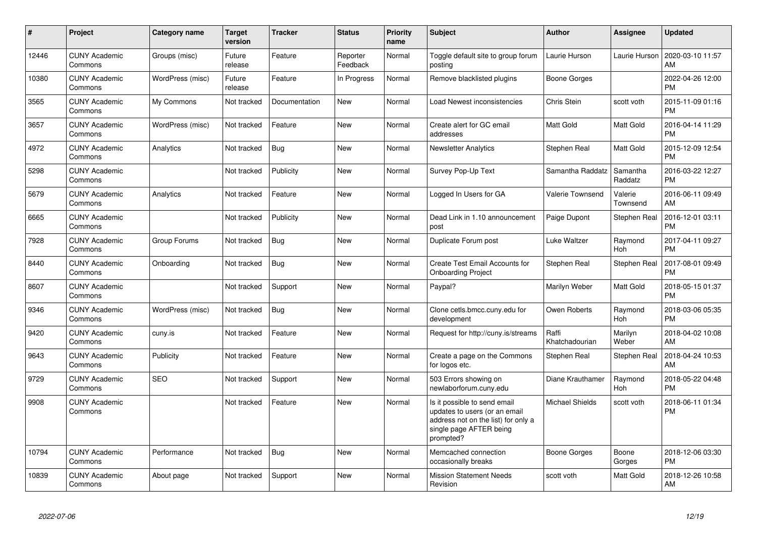| $\pmb{\#}$ | Project                         | <b>Category name</b> | <b>Target</b><br>version | <b>Tracker</b> | <b>Status</b>        | <b>Priority</b><br>name | <b>Subject</b>                                                                                                                               | <b>Author</b>           | Assignee            | <b>Updated</b>                |
|------------|---------------------------------|----------------------|--------------------------|----------------|----------------------|-------------------------|----------------------------------------------------------------------------------------------------------------------------------------------|-------------------------|---------------------|-------------------------------|
| 12446      | <b>CUNY Academic</b><br>Commons | Groups (misc)        | Future<br>release        | Feature        | Reporter<br>Feedback | Normal                  | Toggle default site to group forum<br>posting                                                                                                | Laurie Hurson           | Laurie Hurson       | 2020-03-10 11:57<br>AM        |
| 10380      | <b>CUNY Academic</b><br>Commons | WordPress (misc)     | Future<br>release        | Feature        | In Progress          | Normal                  | Remove blacklisted plugins                                                                                                                   | <b>Boone Gorges</b>     |                     | 2022-04-26 12:00<br><b>PM</b> |
| 3565       | <b>CUNY Academic</b><br>Commons | My Commons           | Not tracked              | Documentation  | New                  | Normal                  | Load Newest inconsistencies                                                                                                                  | Chris Stein             | scott voth          | 2015-11-09 01:16<br><b>PM</b> |
| 3657       | <b>CUNY Academic</b><br>Commons | WordPress (misc)     | Not tracked              | Feature        | New                  | Normal                  | Create alert for GC email<br>addresses                                                                                                       | <b>Matt Gold</b>        | Matt Gold           | 2016-04-14 11:29<br><b>PM</b> |
| 4972       | <b>CUNY Academic</b><br>Commons | Analytics            | Not tracked              | Bug            | New                  | Normal                  | <b>Newsletter Analytics</b>                                                                                                                  | Stephen Real            | Matt Gold           | 2015-12-09 12:54<br><b>PM</b> |
| 5298       | <b>CUNY Academic</b><br>Commons |                      | Not tracked              | Publicity      | New                  | Normal                  | Survey Pop-Up Text                                                                                                                           | Samantha Raddatz        | Samantha<br>Raddatz | 2016-03-22 12:27<br><b>PM</b> |
| 5679       | <b>CUNY Academic</b><br>Commons | Analytics            | Not tracked              | Feature        | <b>New</b>           | Normal                  | Logged In Users for GA                                                                                                                       | <b>Valerie Townsend</b> | Valerie<br>Townsend | 2016-06-11 09:49<br>AM        |
| 6665       | <b>CUNY Academic</b><br>Commons |                      | Not tracked              | Publicity      | <b>New</b>           | Normal                  | Dead Link in 1.10 announcement<br>post                                                                                                       | Paige Dupont            | Stephen Real        | 2016-12-01 03:11<br><b>PM</b> |
| 7928       | <b>CUNY Academic</b><br>Commons | Group Forums         | Not tracked              | <b>Bug</b>     | <b>New</b>           | Normal                  | Duplicate Forum post                                                                                                                         | Luke Waltzer            | Raymond<br>Hoh      | 2017-04-11 09:27<br><b>PM</b> |
| 8440       | <b>CUNY Academic</b><br>Commons | Onboarding           | Not tracked              | <b>Bug</b>     | <b>New</b>           | Normal                  | Create Test Email Accounts for<br><b>Onboarding Project</b>                                                                                  | Stephen Real            | Stephen Real        | 2017-08-01 09:49<br><b>PM</b> |
| 8607       | <b>CUNY Academic</b><br>Commons |                      | Not tracked              | Support        | <b>New</b>           | Normal                  | Paypal?                                                                                                                                      | Marilyn Weber           | Matt Gold           | 2018-05-15 01:37<br><b>PM</b> |
| 9346       | <b>CUNY Academic</b><br>Commons | WordPress (misc)     | Not tracked              | <b>Bug</b>     | New                  | Normal                  | Clone cetls.bmcc.cuny.edu for<br>development                                                                                                 | Owen Roberts            | Raymond<br>Hoh      | 2018-03-06 05:35<br><b>PM</b> |
| 9420       | <b>CUNY Academic</b><br>Commons | cuny.is              | Not tracked              | Feature        | New                  | Normal                  | Request for http://cuny.is/streams                                                                                                           | Raffi<br>Khatchadourian | Marilyn<br>Weber    | 2018-04-02 10:08<br>AM        |
| 9643       | <b>CUNY Academic</b><br>Commons | Publicity            | Not tracked              | Feature        | <b>New</b>           | Normal                  | Create a page on the Commons<br>for logos etc.                                                                                               | Stephen Real            | Stephen Real        | 2018-04-24 10:53<br>AM        |
| 9729       | <b>CUNY Academic</b><br>Commons | <b>SEO</b>           | Not tracked              | Support        | New                  | Normal                  | 503 Errors showing on<br>newlaborforum.cuny.edu                                                                                              | Diane Krauthamer        | Raymond<br>Hoh      | 2018-05-22 04:48<br><b>PM</b> |
| 9908       | <b>CUNY Academic</b><br>Commons |                      | Not tracked              | Feature        | <b>New</b>           | Normal                  | Is it possible to send email<br>updates to users (or an email<br>address not on the list) for only a<br>single page AFTER being<br>prompted? | <b>Michael Shields</b>  | scott voth          | 2018-06-11 01:34<br><b>PM</b> |
| 10794      | <b>CUNY Academic</b><br>Commons | Performance          | Not tracked              | <b>Bug</b>     | <b>New</b>           | Normal                  | Memcached connection<br>occasionally breaks                                                                                                  | <b>Boone Gorges</b>     | Boone<br>Gorges     | 2018-12-06 03:30<br><b>PM</b> |
| 10839      | <b>CUNY Academic</b><br>Commons | About page           | Not tracked              | Support        | <b>New</b>           | Normal                  | <b>Mission Statement Needs</b><br>Revision                                                                                                   | scott voth              | Matt Gold           | 2018-12-26 10:58<br>AM        |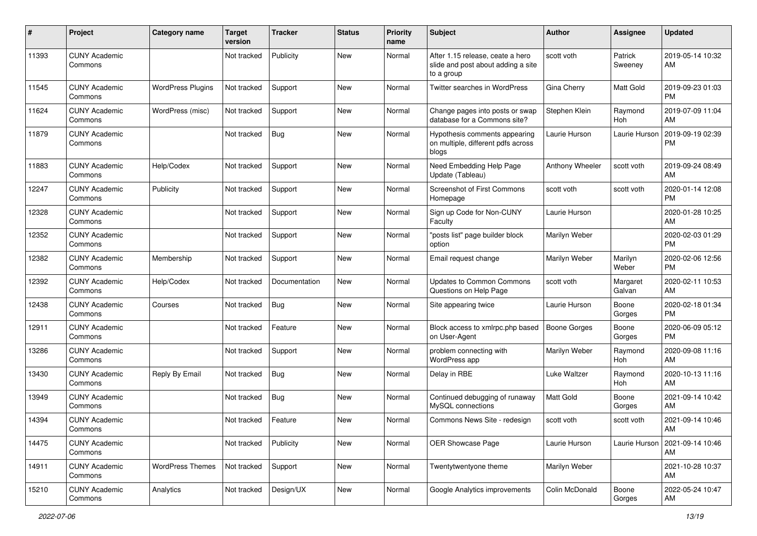| #     | Project                         | <b>Category name</b>     | <b>Target</b><br>version | <b>Tracker</b> | <b>Status</b> | <b>Priority</b><br>name | <b>Subject</b>                                                                       | Author              | <b>Assignee</b>       | <b>Updated</b>                |
|-------|---------------------------------|--------------------------|--------------------------|----------------|---------------|-------------------------|--------------------------------------------------------------------------------------|---------------------|-----------------------|-------------------------------|
| 11393 | <b>CUNY Academic</b><br>Commons |                          | Not tracked              | Publicity      | <b>New</b>    | Normal                  | After 1.15 release, ceate a hero<br>slide and post about adding a site<br>to a group | scott voth          | Patrick<br>Sweeney    | 2019-05-14 10:32<br>AM        |
| 11545 | <b>CUNY Academic</b><br>Commons | <b>WordPress Plugins</b> | Not tracked              | Support        | New           | Normal                  | Twitter searches in WordPress                                                        | Gina Cherry         | Matt Gold             | 2019-09-23 01:03<br><b>PM</b> |
| 11624 | <b>CUNY Academic</b><br>Commons | WordPress (misc)         | Not tracked              | Support        | New           | Normal                  | Change pages into posts or swap<br>database for a Commons site?                      | Stephen Klein       | Raymond<br><b>Hoh</b> | 2019-07-09 11:04<br>AM        |
| 11879 | <b>CUNY Academic</b><br>Commons |                          | Not tracked              | <b>Bug</b>     | <b>New</b>    | Normal                  | Hypothesis comments appearing<br>on multiple, different pdfs across<br>blogs         | Laurie Hurson       | Laurie Hurson         | 2019-09-19 02:39<br>PM        |
| 11883 | <b>CUNY Academic</b><br>Commons | Help/Codex               | Not tracked              | Support        | <b>New</b>    | Normal                  | Need Embedding Help Page<br>Update (Tableau)                                         | Anthony Wheeler     | scott voth            | 2019-09-24 08:49<br>AM        |
| 12247 | <b>CUNY Academic</b><br>Commons | Publicity                | Not tracked              | Support        | <b>New</b>    | Normal                  | Screenshot of First Commons<br>Homepage                                              | scott voth          | scott voth            | 2020-01-14 12:08<br><b>PM</b> |
| 12328 | <b>CUNY Academic</b><br>Commons |                          | Not tracked              | Support        | <b>New</b>    | Normal                  | Sign up Code for Non-CUNY<br>Faculty                                                 | Laurie Hurson       |                       | 2020-01-28 10:25<br>AM        |
| 12352 | <b>CUNY Academic</b><br>Commons |                          | Not tracked              | Support        | New           | Normal                  | "posts list" page builder block<br>option                                            | Marilyn Weber       |                       | 2020-02-03 01:29<br><b>PM</b> |
| 12382 | <b>CUNY Academic</b><br>Commons | Membership               | Not tracked              | Support        | <b>New</b>    | Normal                  | Email request change                                                                 | Marilyn Weber       | Marilyn<br>Weber      | 2020-02-06 12:56<br><b>PM</b> |
| 12392 | <b>CUNY Academic</b><br>Commons | Help/Codex               | Not tracked              | Documentation  | <b>New</b>    | Normal                  | <b>Updates to Common Commons</b><br>Questions on Help Page                           | scott voth          | Margaret<br>Galvan    | 2020-02-11 10:53<br>AM        |
| 12438 | <b>CUNY Academic</b><br>Commons | Courses                  | Not tracked              | Bug            | <b>New</b>    | Normal                  | Site appearing twice                                                                 | Laurie Hurson       | Boone<br>Gorges       | 2020-02-18 01:34<br><b>PM</b> |
| 12911 | <b>CUNY Academic</b><br>Commons |                          | Not tracked              | Feature        | New           | Normal                  | Block access to xmlrpc.php based<br>on User-Agent                                    | <b>Boone Gorges</b> | Boone<br>Gorges       | 2020-06-09 05:12<br><b>PM</b> |
| 13286 | <b>CUNY Academic</b><br>Commons |                          | Not tracked              | Support        | <b>New</b>    | Normal                  | problem connecting with<br>WordPress app                                             | Marilyn Weber       | Raymond<br>Hoh        | 2020-09-08 11:16<br>AM        |
| 13430 | <b>CUNY Academic</b><br>Commons | Reply By Email           | Not tracked              | Bug            | <b>New</b>    | Normal                  | Delay in RBE                                                                         | Luke Waltzer        | Raymond<br>Hoh        | 2020-10-13 11:16<br>AM        |
| 13949 | <b>CUNY Academic</b><br>Commons |                          | Not tracked              | Bug            | New           | Normal                  | Continued debugging of runaway<br>MySQL connections                                  | Matt Gold           | Boone<br>Gorges       | 2021-09-14 10:42<br>AM        |
| 14394 | <b>CUNY Academic</b><br>Commons |                          | Not tracked              | Feature        | <b>New</b>    | Normal                  | Commons News Site - redesign                                                         | scott voth          | scott voth            | 2021-09-14 10:46<br>AM        |
| 14475 | <b>CUNY Academic</b><br>Commons |                          | Not tracked              | Publicity      | New           | Normal                  | OER Showcase Page                                                                    | Laurie Hurson       | Laurie Hurson         | 2021-09-14 10:46<br>AM        |
| 14911 | <b>CUNY Academic</b><br>Commons | <b>WordPress Themes</b>  | Not tracked              | Support        | New           | Normal                  | Twentytwentyone theme                                                                | Marilyn Weber       |                       | 2021-10-28 10:37<br>AM        |
| 15210 | <b>CUNY Academic</b><br>Commons | Analytics                | Not tracked              | Design/UX      | New           | Normal                  | Google Analytics improvements                                                        | Colin McDonald      | Boone<br>Gorges       | 2022-05-24 10:47<br>AM        |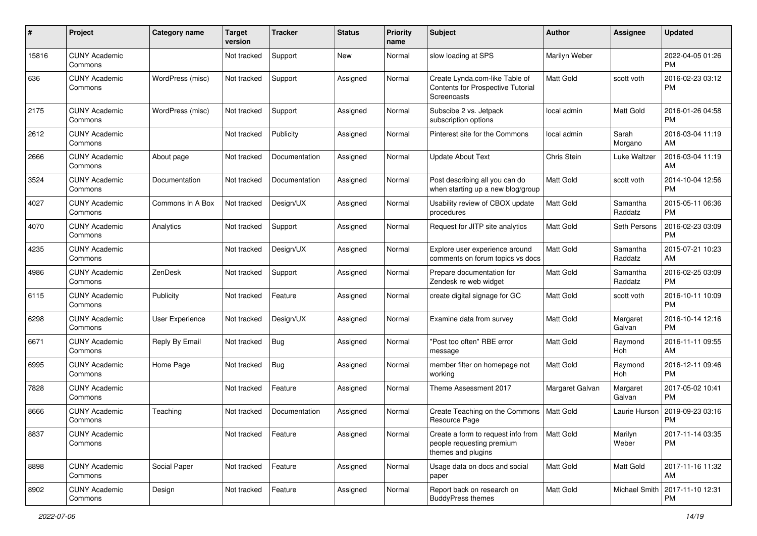| #     | Project                         | <b>Category name</b> | <b>Target</b><br>version | <b>Tracker</b> | <b>Status</b> | <b>Priority</b><br>name | <b>Subject</b>                                                                        | Author           | <b>Assignee</b>     | <b>Updated</b>                |
|-------|---------------------------------|----------------------|--------------------------|----------------|---------------|-------------------------|---------------------------------------------------------------------------------------|------------------|---------------------|-------------------------------|
| 15816 | <b>CUNY Academic</b><br>Commons |                      | Not tracked              | Support        | New           | Normal                  | slow loading at SPS                                                                   | Marilyn Weber    |                     | 2022-04-05 01:26<br><b>PM</b> |
| 636   | <b>CUNY Academic</b><br>Commons | WordPress (misc)     | Not tracked              | Support        | Assigned      | Normal                  | Create Lynda.com-like Table of<br>Contents for Prospective Tutorial<br>Screencasts    | <b>Matt Gold</b> | scott voth          | 2016-02-23 03:12<br><b>PM</b> |
| 2175  | <b>CUNY Academic</b><br>Commons | WordPress (misc)     | Not tracked              | Support        | Assigned      | Normal                  | Subscibe 2 vs. Jetpack<br>subscription options                                        | local admin      | Matt Gold           | 2016-01-26 04:58<br><b>PM</b> |
| 2612  | <b>CUNY Academic</b><br>Commons |                      | Not tracked              | Publicity      | Assigned      | Normal                  | Pinterest site for the Commons                                                        | local admin      | Sarah<br>Morgano    | 2016-03-04 11:19<br>AM        |
| 2666  | <b>CUNY Academic</b><br>Commons | About page           | Not tracked              | Documentation  | Assigned      | Normal                  | <b>Update About Text</b>                                                              | Chris Stein      | Luke Waltzer        | 2016-03-04 11:19<br>AM        |
| 3524  | <b>CUNY Academic</b><br>Commons | Documentation        | Not tracked              | Documentation  | Assigned      | Normal                  | Post describing all you can do<br>when starting up a new blog/group                   | <b>Matt Gold</b> | scott voth          | 2014-10-04 12:56<br><b>PM</b> |
| 4027  | <b>CUNY Academic</b><br>Commons | Commons In A Box     | Not tracked              | Design/UX      | Assigned      | Normal                  | Usability review of CBOX update<br>procedures                                         | Matt Gold        | Samantha<br>Raddatz | 2015-05-11 06:36<br><b>PM</b> |
| 4070  | <b>CUNY Academic</b><br>Commons | Analytics            | Not tracked              | Support        | Assigned      | Normal                  | Request for JITP site analytics                                                       | Matt Gold        | Seth Persons        | 2016-02-23 03:09<br><b>PM</b> |
| 4235  | <b>CUNY Academic</b><br>Commons |                      | Not tracked              | Design/UX      | Assigned      | Normal                  | Explore user experience around<br>comments on forum topics vs docs                    | <b>Matt Gold</b> | Samantha<br>Raddatz | 2015-07-21 10:23<br>AM        |
| 4986  | <b>CUNY Academic</b><br>Commons | ZenDesk              | Not tracked              | Support        | Assigned      | Normal                  | Prepare documentation for<br>Zendesk re web widget                                    | <b>Matt Gold</b> | Samantha<br>Raddatz | 2016-02-25 03:09<br><b>PM</b> |
| 6115  | <b>CUNY Academic</b><br>Commons | Publicity            | Not tracked              | Feature        | Assigned      | Normal                  | create digital signage for GC                                                         | <b>Matt Gold</b> | scott voth          | 2016-10-11 10:09<br><b>PM</b> |
| 6298  | <b>CUNY Academic</b><br>Commons | User Experience      | Not tracked              | Design/UX      | Assigned      | Normal                  | Examine data from survey                                                              | <b>Matt Gold</b> | Margaret<br>Galvan  | 2016-10-14 12:16<br><b>PM</b> |
| 6671  | <b>CUNY Academic</b><br>Commons | Reply By Email       | Not tracked              | <b>Bug</b>     | Assigned      | Normal                  | "Post too often" RBE error<br>message                                                 | <b>Matt Gold</b> | Raymond<br>Hoh      | 2016-11-11 09:55<br>AM        |
| 6995  | <b>CUNY Academic</b><br>Commons | Home Page            | Not tracked              | <b>Bug</b>     | Assigned      | Normal                  | member filter on homepage not<br>workina                                              | <b>Matt Gold</b> | Raymond<br>Hoh      | 2016-12-11 09:46<br><b>PM</b> |
| 7828  | <b>CUNY Academic</b><br>Commons |                      | Not tracked              | Feature        | Assigned      | Normal                  | Theme Assessment 2017                                                                 | Margaret Galvan  | Margaret<br>Galvan  | 2017-05-02 10:41<br><b>PM</b> |
| 8666  | <b>CUNY Academic</b><br>Commons | Teaching             | Not tracked              | Documentation  | Assigned      | Normal                  | Create Teaching on the Commons<br>Resource Page                                       | Matt Gold        | Laurie Hurson       | 2019-09-23 03:16<br><b>PM</b> |
| 8837  | <b>CUNY Academic</b><br>Commons |                      | Not tracked              | Feature        | Assigned      | Normal                  | Create a form to request info from<br>people requesting premium<br>themes and plugins | Matt Gold        | Marilyn<br>Weber    | 2017-11-14 03:35<br>PM        |
| 8898  | <b>CUNY Academic</b><br>Commons | Social Paper         | Not tracked              | Feature        | Assigned      | Normal                  | Usage data on docs and social<br>paper                                                | Matt Gold        | Matt Gold           | 2017-11-16 11:32<br>AM        |
| 8902  | <b>CUNY Academic</b><br>Commons | Design               | Not tracked              | Feature        | Assigned      | Normal                  | Report back on research on<br><b>BuddyPress themes</b>                                | <b>Matt Gold</b> | Michael Smith       | 2017-11-10 12:31<br>PM        |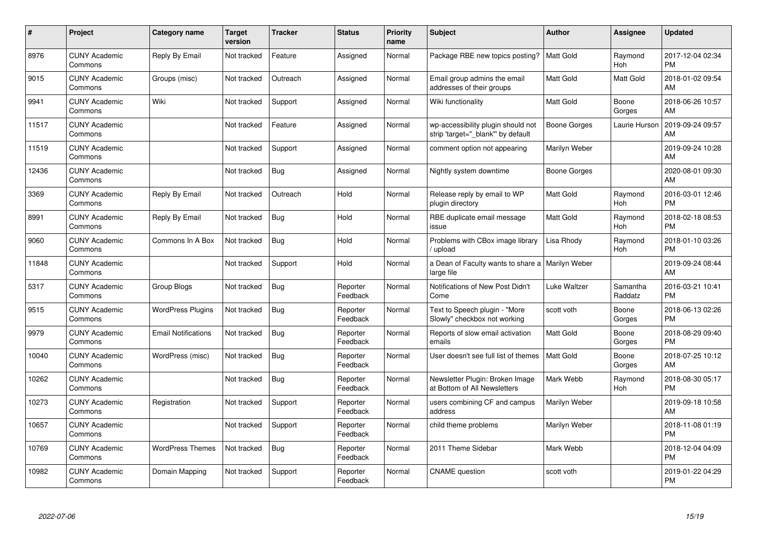| #     | <b>Project</b>                  | <b>Category name</b>       | <b>Target</b><br>version | <b>Tracker</b> | <b>Status</b>        | <b>Priority</b><br>name | <b>Subject</b>                                                          | <b>Author</b>    | Assignee            | <b>Updated</b>                |
|-------|---------------------------------|----------------------------|--------------------------|----------------|----------------------|-------------------------|-------------------------------------------------------------------------|------------------|---------------------|-------------------------------|
| 8976  | <b>CUNY Academic</b><br>Commons | Reply By Email             | Not tracked              | Feature        | Assigned             | Normal                  | Package RBE new topics posting?                                         | <b>Matt Gold</b> | Raymond<br>Hoh      | 2017-12-04 02:34<br><b>PM</b> |
| 9015  | <b>CUNY Academic</b><br>Commons | Groups (misc)              | Not tracked              | Outreach       | Assigned             | Normal                  | Email group admins the email<br>addresses of their groups               | <b>Matt Gold</b> | Matt Gold           | 2018-01-02 09:54<br>AM        |
| 9941  | <b>CUNY Academic</b><br>Commons | Wiki                       | Not tracked              | Support        | Assigned             | Normal                  | Wiki functionality                                                      | <b>Matt Gold</b> | Boone<br>Gorges     | 2018-06-26 10:57<br>AM        |
| 11517 | <b>CUNY Academic</b><br>Commons |                            | Not tracked              | Feature        | Assigned             | Normal                  | wp-accessibility plugin should not<br>strip 'target=" blank" by default | Boone Gorges     | Laurie Hurson       | 2019-09-24 09:57<br>AM        |
| 11519 | <b>CUNY Academic</b><br>Commons |                            | Not tracked              | Support        | Assigned             | Normal                  | comment option not appearing                                            | Marilyn Weber    |                     | 2019-09-24 10:28<br>AM        |
| 12436 | <b>CUNY Academic</b><br>Commons |                            | Not tracked              | Bug            | Assigned             | Normal                  | Nightly system downtime                                                 | Boone Gorges     |                     | 2020-08-01 09:30<br>AM        |
| 3369  | <b>CUNY Academic</b><br>Commons | Reply By Email             | Not tracked              | Outreach       | Hold                 | Normal                  | Release reply by email to WP<br>plugin directory                        | <b>Matt Gold</b> | Raymond<br>Hoh      | 2016-03-01 12:46<br><b>PM</b> |
| 8991  | <b>CUNY Academic</b><br>Commons | Reply By Email             | Not tracked              | Bug            | Hold                 | Normal                  | RBE duplicate email message<br>issue                                    | <b>Matt Gold</b> | Raymond<br>Hoh      | 2018-02-18 08:53<br><b>PM</b> |
| 9060  | <b>CUNY Academic</b><br>Commons | Commons In A Box           | Not tracked              | Bug            | Hold                 | Normal                  | Problems with CBox image library<br>/ upload                            | Lisa Rhody       | Raymond<br>Hoh      | 2018-01-10 03:26<br><b>PM</b> |
| 11848 | <b>CUNY Academic</b><br>Commons |                            | Not tracked              | Support        | Hold                 | Normal                  | a Dean of Faculty wants to share a   Marilyn Weber<br>large file        |                  |                     | 2019-09-24 08:44<br>AM        |
| 5317  | <b>CUNY Academic</b><br>Commons | Group Blogs                | Not tracked              | <b>Bug</b>     | Reporter<br>Feedback | Normal                  | Notifications of New Post Didn't<br>Come                                | Luke Waltzer     | Samantha<br>Raddatz | 2016-03-21 10:41<br><b>PM</b> |
| 9515  | <b>CUNY Academic</b><br>Commons | <b>WordPress Plugins</b>   | Not tracked              | <b>Bug</b>     | Reporter<br>Feedback | Normal                  | Text to Speech plugin - "More<br>Slowly" checkbox not working           | scott voth       | Boone<br>Gorges     | 2018-06-13 02:26<br><b>PM</b> |
| 9979  | <b>CUNY Academic</b><br>Commons | <b>Email Notifications</b> | Not tracked              | Bug            | Reporter<br>Feedback | Normal                  | Reports of slow email activation<br>emails                              | <b>Matt Gold</b> | Boone<br>Gorges     | 2018-08-29 09:40<br><b>PM</b> |
| 10040 | <b>CUNY Academic</b><br>Commons | WordPress (misc)           | Not tracked              | <b>Bug</b>     | Reporter<br>Feedback | Normal                  | User doesn't see full list of themes                                    | <b>Matt Gold</b> | Boone<br>Gorges     | 2018-07-25 10:12<br>AM        |
| 10262 | <b>CUNY Academic</b><br>Commons |                            | Not tracked              | Bug            | Reporter<br>Feedback | Normal                  | Newsletter Plugin: Broken Image<br>at Bottom of All Newsletters         | Mark Webb        | Raymond<br>Hoh      | 2018-08-30 05:17<br><b>PM</b> |
| 10273 | <b>CUNY Academic</b><br>Commons | Registration               | Not tracked              | Support        | Reporter<br>Feedback | Normal                  | users combining CF and campus<br>address                                | Marilyn Weber    |                     | 2019-09-18 10:58<br>AM        |
| 10657 | <b>CUNY Academic</b><br>Commons |                            | Not tracked              | Support        | Reporter<br>Feedback | Normal                  | child theme problems                                                    | Marilyn Weber    |                     | 2018-11-08 01:19<br><b>PM</b> |
| 10769 | <b>CUNY Academic</b><br>Commons | <b>WordPress Themes</b>    | Not tracked              | Bug            | Reporter<br>Feedback | Normal                  | 2011 Theme Sidebar                                                      | Mark Webb        |                     | 2018-12-04 04:09<br><b>PM</b> |
| 10982 | <b>CUNY Academic</b><br>Commons | Domain Mapping             | Not tracked              | Support        | Reporter<br>Feedback | Normal                  | <b>CNAME</b> question                                                   | scott voth       |                     | 2019-01-22 04:29<br><b>PM</b> |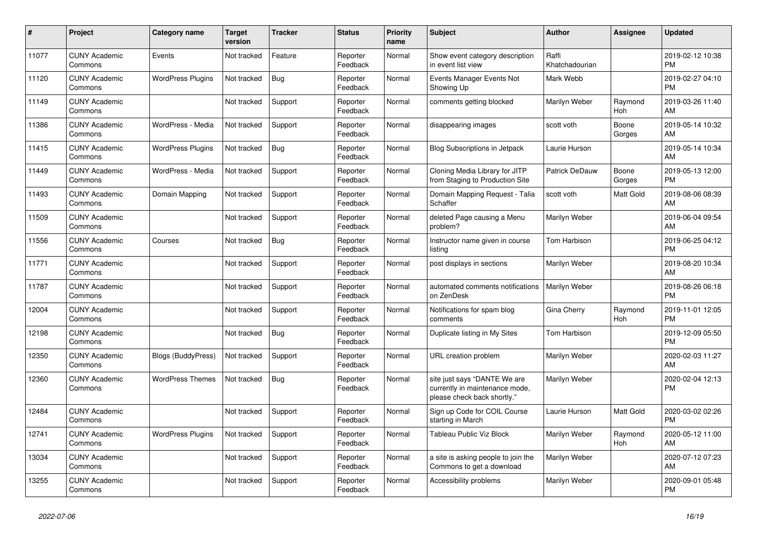| #     | <b>Project</b>                  | <b>Category name</b>      | <b>Target</b><br>version | <b>Tracker</b> | <b>Status</b>        | <b>Priority</b><br>name | <b>Subject</b>                                                                                | <b>Author</b>           | Assignee        | <b>Updated</b>                |
|-------|---------------------------------|---------------------------|--------------------------|----------------|----------------------|-------------------------|-----------------------------------------------------------------------------------------------|-------------------------|-----------------|-------------------------------|
| 11077 | <b>CUNY Academic</b><br>Commons | Events                    | Not tracked              | Feature        | Reporter<br>Feedback | Normal                  | Show event category description<br>in event list view                                         | Raffi<br>Khatchadourian |                 | 2019-02-12 10:38<br><b>PM</b> |
| 11120 | <b>CUNY Academic</b><br>Commons | <b>WordPress Plugins</b>  | Not tracked              | Bug            | Reporter<br>Feedback | Normal                  | Events Manager Events Not<br>Showing Up                                                       | Mark Webb               |                 | 2019-02-27 04:10<br><b>PM</b> |
| 11149 | <b>CUNY Academic</b><br>Commons |                           | Not tracked              | Support        | Reporter<br>Feedback | Normal                  | comments getting blocked                                                                      | Marilyn Weber           | Raymond<br>Hoh  | 2019-03-26 11:40<br>AM        |
| 11386 | <b>CUNY Academic</b><br>Commons | WordPress - Media         | Not tracked              | Support        | Reporter<br>Feedback | Normal                  | disappearing images                                                                           | scott voth              | Boone<br>Gorges | 2019-05-14 10:32<br>AM        |
| 11415 | <b>CUNY Academic</b><br>Commons | <b>WordPress Plugins</b>  | Not tracked              | Bug            | Reporter<br>Feedback | Normal                  | <b>Blog Subscriptions in Jetpack</b>                                                          | Laurie Hurson           |                 | 2019-05-14 10:34<br>AM        |
| 11449 | <b>CUNY Academic</b><br>Commons | WordPress - Media         | Not tracked              | Support        | Reporter<br>Feedback | Normal                  | Cloning Media Library for JITP<br>from Staging to Production Site                             | Patrick DeDauw          | Boone<br>Gorges | 2019-05-13 12:00<br><b>PM</b> |
| 11493 | <b>CUNY Academic</b><br>Commons | Domain Mapping            | Not tracked              | Support        | Reporter<br>Feedback | Normal                  | Domain Mapping Request - Talia<br>Schaffer                                                    | scott voth              | Matt Gold       | 2019-08-06 08:39<br>AM        |
| 11509 | <b>CUNY Academic</b><br>Commons |                           | Not tracked              | Support        | Reporter<br>Feedback | Normal                  | deleted Page causing a Menu<br>problem?                                                       | Marilyn Weber           |                 | 2019-06-04 09:54<br>AM        |
| 11556 | <b>CUNY Academic</b><br>Commons | Courses                   | Not tracked              | <b>Bug</b>     | Reporter<br>Feedback | Normal                  | Instructor name given in course<br>listing                                                    | Tom Harbison            |                 | 2019-06-25 04:12<br><b>PM</b> |
| 11771 | <b>CUNY Academic</b><br>Commons |                           | Not tracked              | Support        | Reporter<br>Feedback | Normal                  | post displays in sections                                                                     | Marilyn Weber           |                 | 2019-08-20 10:34<br>AM        |
| 11787 | <b>CUNY Academic</b><br>Commons |                           | Not tracked              | Support        | Reporter<br>Feedback | Normal                  | automated comments notifications<br>on ZenDesk                                                | <b>Marilyn Weber</b>    |                 | 2019-08-26 06:18<br><b>PM</b> |
| 12004 | <b>CUNY Academic</b><br>Commons |                           | Not tracked              | Support        | Reporter<br>Feedback | Normal                  | Notifications for spam blog<br>comments                                                       | Gina Cherry             | Raymond<br>Hoh  | 2019-11-01 12:05<br><b>PM</b> |
| 12198 | <b>CUNY Academic</b><br>Commons |                           | Not tracked              | Bug            | Reporter<br>Feedback | Normal                  | Duplicate listing in My Sites                                                                 | Tom Harbison            |                 | 2019-12-09 05:50<br><b>PM</b> |
| 12350 | <b>CUNY Academic</b><br>Commons | <b>Blogs (BuddyPress)</b> | Not tracked              | Support        | Reporter<br>Feedback | Normal                  | URL creation problem                                                                          | Marilyn Weber           |                 | 2020-02-03 11:27<br>AM        |
| 12360 | <b>CUNY Academic</b><br>Commons | <b>WordPress Themes</b>   | Not tracked              | Bug            | Reporter<br>Feedback | Normal                  | site just says "DANTE We are<br>currently in maintenance mode,<br>please check back shortly." | Marilyn Weber           |                 | 2020-02-04 12:13<br><b>PM</b> |
| 12484 | <b>CUNY Academic</b><br>Commons |                           | Not tracked              | Support        | Reporter<br>Feedback | Normal                  | Sign up Code for COIL Course<br>starting in March                                             | Laurie Hurson           | Matt Gold       | 2020-03-02 02:26<br><b>PM</b> |
| 12741 | <b>CUNY Academic</b><br>Commons | <b>WordPress Plugins</b>  | Not tracked              | Support        | Reporter<br>Feedback | Normal                  | <b>Tableau Public Viz Block</b>                                                               | Marilyn Weber           | Raymond<br>Hoh  | 2020-05-12 11:00<br>AM        |
| 13034 | <b>CUNY Academic</b><br>Commons |                           | Not tracked              | Support        | Reporter<br>Feedback | Normal                  | a site is asking people to join the<br>Commons to get a download                              | Marilyn Weber           |                 | 2020-07-12 07:23<br>AM        |
| 13255 | <b>CUNY Academic</b><br>Commons |                           | Not tracked              | Support        | Reporter<br>Feedback | Normal                  | Accessibility problems                                                                        | Marilyn Weber           |                 | 2020-09-01 05:48<br><b>PM</b> |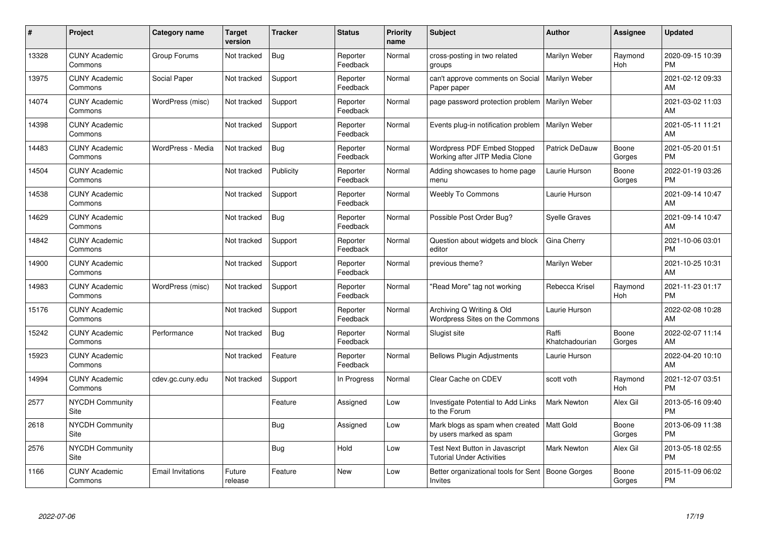| #     | <b>Project</b>                  | <b>Category name</b> | <b>Target</b><br>version | <b>Tracker</b> | <b>Status</b>        | <b>Priority</b><br>name | <b>Subject</b>                                                     | <b>Author</b>           | Assignee        | Updated                       |
|-------|---------------------------------|----------------------|--------------------------|----------------|----------------------|-------------------------|--------------------------------------------------------------------|-------------------------|-----------------|-------------------------------|
| 13328 | <b>CUNY Academic</b><br>Commons | Group Forums         | Not tracked              | <b>Bug</b>     | Reporter<br>Feedback | Normal                  | cross-posting in two related<br>groups                             | Marilyn Weber           | Raymond<br>Hoh  | 2020-09-15 10:39<br>PM        |
| 13975 | <b>CUNY Academic</b><br>Commons | Social Paper         | Not tracked              | Support        | Reporter<br>Feedback | Normal                  | can't approve comments on Social<br>Paper paper                    | Marilyn Weber           |                 | 2021-02-12 09:33<br>AM        |
| 14074 | <b>CUNY Academic</b><br>Commons | WordPress (misc)     | Not tracked              | Support        | Reporter<br>Feedback | Normal                  | page password protection problem                                   | Marilyn Weber           |                 | 2021-03-02 11:03<br>AM        |
| 14398 | <b>CUNY Academic</b><br>Commons |                      | Not tracked              | Support        | Reporter<br>Feedback | Normal                  | Events plug-in notification problem                                | Marilyn Weber           |                 | 2021-05-11 11:21<br>AM        |
| 14483 | <b>CUNY Academic</b><br>Commons | WordPress - Media    | Not tracked              | <b>Bug</b>     | Reporter<br>Feedback | Normal                  | Wordpress PDF Embed Stopped<br>Working after JITP Media Clone      | <b>Patrick DeDauw</b>   | Boone<br>Gorges | 2021-05-20 01:51<br><b>PM</b> |
| 14504 | <b>CUNY Academic</b><br>Commons |                      | Not tracked              | Publicity      | Reporter<br>Feedback | Normal                  | Adding showcases to home page<br>menu                              | Laurie Hurson           | Boone<br>Gorges | 2022-01-19 03:26<br>PM        |
| 14538 | <b>CUNY Academic</b><br>Commons |                      | Not tracked              | Support        | Reporter<br>Feedback | Normal                  | <b>Weebly To Commons</b>                                           | Laurie Hurson           |                 | 2021-09-14 10:47<br>AM        |
| 14629 | <b>CUNY Academic</b><br>Commons |                      | Not tracked              | Bug            | Reporter<br>Feedback | Normal                  | Possible Post Order Bug?                                           | Syelle Graves           |                 | 2021-09-14 10:47<br>AM        |
| 14842 | <b>CUNY Academic</b><br>Commons |                      | Not tracked              | Support        | Reporter<br>Feedback | Normal                  | Question about widgets and block<br>editor                         | Gina Cherry             |                 | 2021-10-06 03:01<br><b>PM</b> |
| 14900 | <b>CUNY Academic</b><br>Commons |                      | Not tracked              | Support        | Reporter<br>Feedback | Normal                  | previous theme?                                                    | Marilyn Weber           |                 | 2021-10-25 10:31<br>AM        |
| 14983 | <b>CUNY Academic</b><br>Commons | WordPress (misc)     | Not tracked              | Support        | Reporter<br>Feedback | Normal                  | "Read More" tag not working                                        | Rebecca Krisel          | Raymond<br>Hoh  | 2021-11-23 01:17<br>PM        |
| 15176 | <b>CUNY Academic</b><br>Commons |                      | Not tracked              | Support        | Reporter<br>Feedback | Normal                  | Archiving Q Writing & Old<br>Wordpress Sites on the Commons        | Laurie Hurson           |                 | 2022-02-08 10:28<br>AM        |
| 15242 | <b>CUNY Academic</b><br>Commons | Performance          | Not tracked              | Bug            | Reporter<br>Feedback | Normal                  | Slugist site                                                       | Raffi<br>Khatchadourian | Boone<br>Gorges | 2022-02-07 11:14<br>AM        |
| 15923 | <b>CUNY Academic</b><br>Commons |                      | Not tracked              | Feature        | Reporter<br>Feedback | Normal                  | <b>Bellows Plugin Adjustments</b>                                  | Laurie Hurson           |                 | 2022-04-20 10:10<br>AM        |
| 14994 | <b>CUNY Academic</b><br>Commons | cdev.gc.cuny.edu     | Not tracked              | Support        | In Progress          | Normal                  | Clear Cache on CDEV                                                | scott voth              | Raymond<br>Hoh  | 2021-12-07 03:51<br><b>PM</b> |
| 2577  | <b>NYCDH Community</b><br>Site  |                      |                          | Feature        | Assigned             | Low                     | Investigate Potential to Add Links<br>to the Forum                 | <b>Mark Newton</b>      | Alex Gil        | 2013-05-16 09:40<br><b>PM</b> |
| 2618  | <b>NYCDH Community</b><br>Site  |                      |                          | Bug            | Assigned             | Low                     | Mark blogs as spam when created<br>by users marked as spam         | Matt Gold               | Boone<br>Gorges | 2013-06-09 11:38<br>PM        |
| 2576  | <b>NYCDH Community</b><br>Site  |                      |                          | <b>Bug</b>     | Hold                 | Low                     | Test Next Button in Javascript<br><b>Tutorial Under Activities</b> | Mark Newton             | Alex Gil        | 2013-05-18 02:55<br>PM        |
| 1166  | <b>CUNY Academic</b><br>Commons | Email Invitations    | Future<br>release        | Feature        | <b>New</b>           | Low                     | Better organizational tools for Sent<br>Invites                    | <b>Boone Gorges</b>     | Boone<br>Gorges | 2015-11-09 06:02<br>PM        |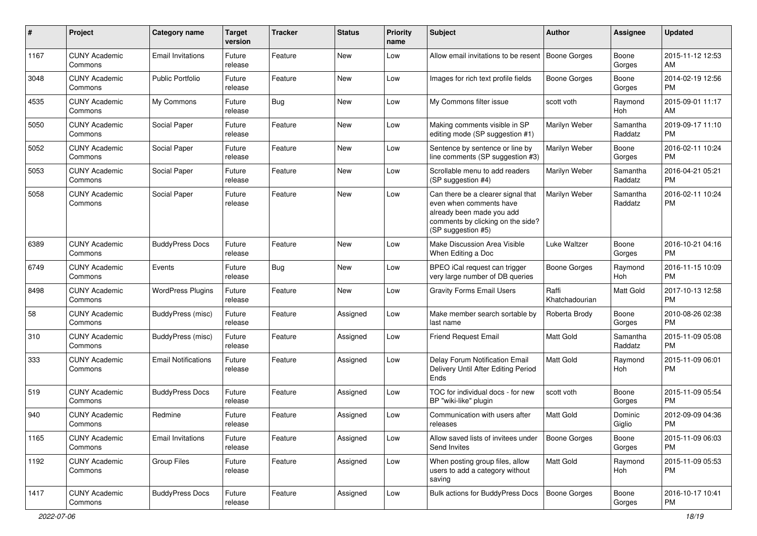| #    | Project                         | <b>Category name</b>       | <b>Target</b><br>version | <b>Tracker</b> | <b>Status</b> | <b>Priority</b><br>name | <b>Subject</b>                                                                                                                                        | Author                  | <b>Assignee</b>     | <b>Updated</b>                |
|------|---------------------------------|----------------------------|--------------------------|----------------|---------------|-------------------------|-------------------------------------------------------------------------------------------------------------------------------------------------------|-------------------------|---------------------|-------------------------------|
| 1167 | <b>CUNY Academic</b><br>Commons | <b>Email Invitations</b>   | Future<br>release        | Feature        | New           | Low                     | Allow email invitations to be resent   Boone Gorges                                                                                                   |                         | Boone<br>Gorges     | 2015-11-12 12:53<br>AM        |
| 3048 | <b>CUNY Academic</b><br>Commons | <b>Public Portfolio</b>    | Future<br>release        | Feature        | New           | Low                     | Images for rich text profile fields                                                                                                                   | <b>Boone Gorges</b>     | Boone<br>Gorges     | 2014-02-19 12:56<br><b>PM</b> |
| 4535 | <b>CUNY Academic</b><br>Commons | My Commons                 | Future<br>release        | Bug            | New           | Low                     | My Commons filter issue                                                                                                                               | scott voth              | Raymond<br>Hoh      | 2015-09-01 11:17<br>AM        |
| 5050 | <b>CUNY Academic</b><br>Commons | Social Paper               | Future<br>release        | Feature        | New           | Low                     | Making comments visible in SP<br>editing mode (SP suggestion #1)                                                                                      | Marilyn Weber           | Samantha<br>Raddatz | 2019-09-17 11:10<br><b>PM</b> |
| 5052 | <b>CUNY Academic</b><br>Commons | Social Paper               | Future<br>release        | Feature        | New           | Low                     | Sentence by sentence or line by<br>line comments (SP suggestion #3)                                                                                   | Marilyn Weber           | Boone<br>Gorges     | 2016-02-11 10:24<br><b>PM</b> |
| 5053 | <b>CUNY Academic</b><br>Commons | Social Paper               | Future<br>release        | Feature        | New           | Low                     | Scrollable menu to add readers<br>(SP suggestion #4)                                                                                                  | Marilyn Weber           | Samantha<br>Raddatz | 2016-04-21 05:21<br><b>PM</b> |
| 5058 | <b>CUNY Academic</b><br>Commons | Social Paper               | Future<br>release        | Feature        | New           | Low                     | Can there be a clearer signal that<br>even when comments have<br>already been made you add<br>comments by clicking on the side?<br>(SP suggestion #5) | Marilyn Weber           | Samantha<br>Raddatz | 2016-02-11 10:24<br><b>PM</b> |
| 6389 | <b>CUNY Academic</b><br>Commons | <b>BuddyPress Docs</b>     | Future<br>release        | Feature        | New           | Low                     | Make Discussion Area Visible<br>When Editing a Doc                                                                                                    | Luke Waltzer            | Boone<br>Gorges     | 2016-10-21 04:16<br><b>PM</b> |
| 6749 | <b>CUNY Academic</b><br>Commons | Events                     | Future<br>release        | Bug            | New           | Low                     | BPEO iCal request can trigger<br>very large number of DB queries                                                                                      | <b>Boone Gorges</b>     | Raymond<br>Hoh      | 2016-11-15 10:09<br><b>PM</b> |
| 8498 | <b>CUNY Academic</b><br>Commons | <b>WordPress Plugins</b>   | Future<br>release        | Feature        | New           | Low                     | <b>Gravity Forms Email Users</b>                                                                                                                      | Raffi<br>Khatchadourian | Matt Gold           | 2017-10-13 12:58<br><b>PM</b> |
| 58   | <b>CUNY Academic</b><br>Commons | BuddyPress (misc)          | Future<br>release        | Feature        | Assigned      | Low                     | Make member search sortable by<br>last name                                                                                                           | Roberta Brody           | Boone<br>Gorges     | 2010-08-26 02:38<br><b>PM</b> |
| 310  | <b>CUNY Academic</b><br>Commons | BuddyPress (misc)          | Future<br>release        | Feature        | Assigned      | Low                     | Friend Request Email                                                                                                                                  | <b>Matt Gold</b>        | Samantha<br>Raddatz | 2015-11-09 05:08<br><b>PM</b> |
| 333  | <b>CUNY Academic</b><br>Commons | <b>Email Notifications</b> | Future<br>release        | Feature        | Assigned      | Low                     | Delay Forum Notification Email<br>Delivery Until After Editing Period<br>Ends                                                                         | <b>Matt Gold</b>        | Raymond<br>Hoh      | 2015-11-09 06:01<br><b>PM</b> |
| 519  | <b>CUNY Academic</b><br>Commons | <b>BuddyPress Docs</b>     | Future<br>release        | Feature        | Assigned      | Low                     | TOC for individual docs - for new<br>BP "wiki-like" plugin                                                                                            | scott voth              | Boone<br>Gorges     | 2015-11-09 05:54<br><b>PM</b> |
| 940  | <b>CUNY Academic</b><br>Commons | Redmine                    | Future<br>release        | Feature        | Assigned      | Low                     | Communication with users after<br>releases                                                                                                            | <b>Matt Gold</b>        | Dominic<br>Giglio   | 2012-09-09 04:36<br><b>PM</b> |
| 1165 | <b>CUNY Academic</b><br>Commons | <b>Email Invitations</b>   | Future<br>release        | Feature        | Assigned      | Low                     | Allow saved lists of invitees under<br>Send Invites                                                                                                   | Boone Gorges            | Boone<br>Gorges     | 2015-11-09 06:03<br><b>PM</b> |
| 1192 | <b>CUNY Academic</b><br>Commons | <b>Group Files</b>         | Future<br>release        | Feature        | Assigned      | Low                     | When posting group files, allow<br>users to add a category without<br>saving                                                                          | Matt Gold               | Raymond<br>Hoh      | 2015-11-09 05:53<br><b>PM</b> |
| 1417 | <b>CUNY Academic</b><br>Commons | <b>BuddyPress Docs</b>     | Future<br>release        | Feature        | Assigned      | Low                     | Bulk actions for BuddyPress Docs                                                                                                                      | Boone Gorges            | Boone<br>Gorges     | 2016-10-17 10:41<br>PM        |